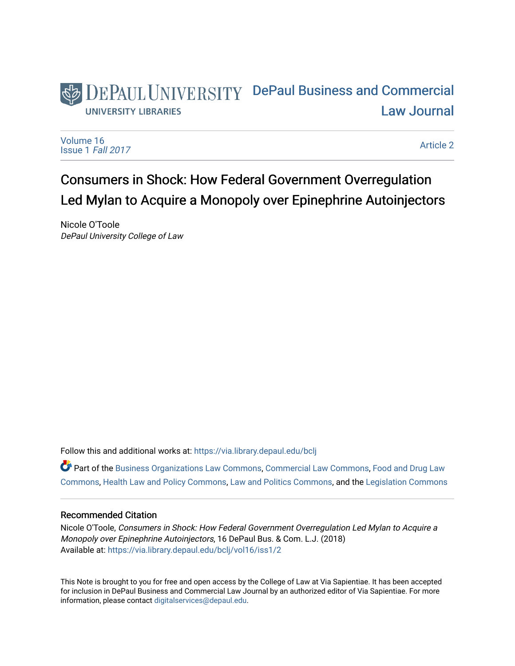## DEPAUL UNIVERSITY DePaul Business and Commercial [Law Journal](https://via.library.depaul.edu/bclj)  **UNIVERSITY LIBRARIES**

[Volume 16](https://via.library.depaul.edu/bclj/vol16) [Issue 1](https://via.library.depaul.edu/bclj/vol16/iss1) Fall 2017

[Article 2](https://via.library.depaul.edu/bclj/vol16/iss1/2) 

# Consumers in Shock: How Federal Government Overregulation Led Mylan to Acquire a Monopoly over Epinephrine Autoinjectors

Nicole O'Toole DePaul University College of Law

Follow this and additional works at: [https://via.library.depaul.edu/bclj](https://via.library.depaul.edu/bclj?utm_source=via.library.depaul.edu%2Fbclj%2Fvol16%2Fiss1%2F2&utm_medium=PDF&utm_campaign=PDFCoverPages) 

Part of the [Business Organizations Law Commons](http://network.bepress.com/hgg/discipline/900?utm_source=via.library.depaul.edu%2Fbclj%2Fvol16%2Fiss1%2F2&utm_medium=PDF&utm_campaign=PDFCoverPages), [Commercial Law Commons,](http://network.bepress.com/hgg/discipline/586?utm_source=via.library.depaul.edu%2Fbclj%2Fvol16%2Fiss1%2F2&utm_medium=PDF&utm_campaign=PDFCoverPages) [Food and Drug Law](http://network.bepress.com/hgg/discipline/844?utm_source=via.library.depaul.edu%2Fbclj%2Fvol16%2Fiss1%2F2&utm_medium=PDF&utm_campaign=PDFCoverPages) [Commons](http://network.bepress.com/hgg/discipline/844?utm_source=via.library.depaul.edu%2Fbclj%2Fvol16%2Fiss1%2F2&utm_medium=PDF&utm_campaign=PDFCoverPages), [Health Law and Policy Commons](http://network.bepress.com/hgg/discipline/901?utm_source=via.library.depaul.edu%2Fbclj%2Fvol16%2Fiss1%2F2&utm_medium=PDF&utm_campaign=PDFCoverPages), [Law and Politics Commons](http://network.bepress.com/hgg/discipline/867?utm_source=via.library.depaul.edu%2Fbclj%2Fvol16%2Fiss1%2F2&utm_medium=PDF&utm_campaign=PDFCoverPages), and the [Legislation Commons](http://network.bepress.com/hgg/discipline/859?utm_source=via.library.depaul.edu%2Fbclj%2Fvol16%2Fiss1%2F2&utm_medium=PDF&utm_campaign=PDFCoverPages)

## Recommended Citation

Nicole O'Toole, Consumers in Shock: How Federal Government Overregulation Led Mylan to Acquire a Monopoly over Epinephrine Autoinjectors, 16 DePaul Bus. & Com. L.J. (2018) Available at: [https://via.library.depaul.edu/bclj/vol16/iss1/2](https://via.library.depaul.edu/bclj/vol16/iss1/2?utm_source=via.library.depaul.edu%2Fbclj%2Fvol16%2Fiss1%2F2&utm_medium=PDF&utm_campaign=PDFCoverPages) 

This Note is brought to you for free and open access by the College of Law at Via Sapientiae. It has been accepted for inclusion in DePaul Business and Commercial Law Journal by an authorized editor of Via Sapientiae. For more information, please contact [digitalservices@depaul.edu](mailto:digitalservices@depaul.edu).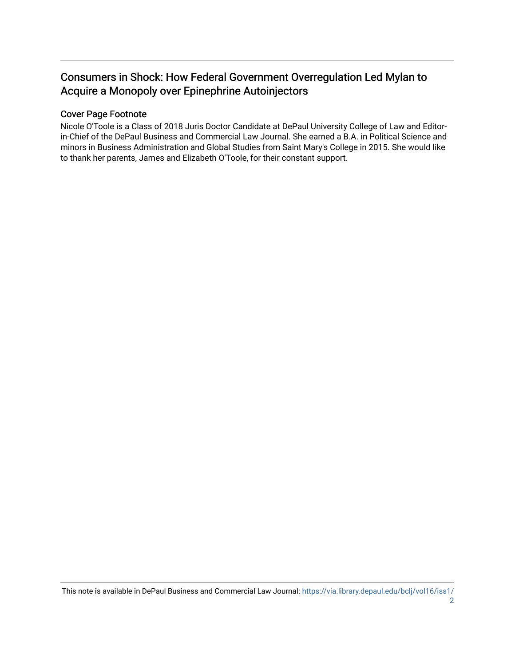## Consumers in Shock: How Federal Government Overregulation Led Mylan to Acquire a Monopoly over Epinephrine Autoinjectors

## Cover Page Footnote

Nicole O'Toole is a Class of 2018 Juris Doctor Candidate at DePaul University College of Law and Editorin-Chief of the DePaul Business and Commercial Law Journal. She earned a B.A. in Political Science and minors in Business Administration and Global Studies from Saint Mary's College in 2015. She would like to thank her parents, James and Elizabeth O'Toole, for their constant support.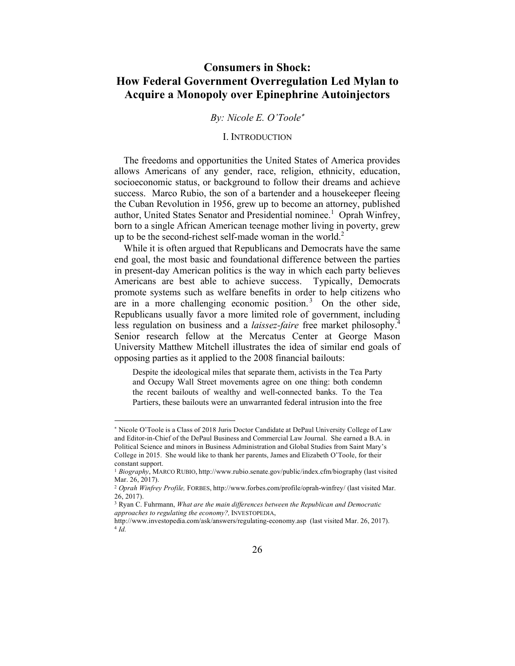## **Consumers in Shock: How Federal Government Overregulation Led Mylan to Acquire a Monopoly over Epinephrine Autoinjectors**

## *By: Nicole E. O'Toole*\*

#### I. INTRODUCTION

The freedoms and opportunities the United States of America provides allows Americans of any gender, race, religion, ethnicity, education, socioeconomic status, or background to follow their dreams and achieve success. Marco Rubio, the son of a bartender and a housekeeper fleeing the Cuban Revolution in 1956, grew up to become an attorney, published author, United States Senator and Presidential nominee.<sup>1</sup> Oprah Winfrey, born to a single African American teenage mother living in poverty, grew up to be the second-richest self-made woman in the world.<sup>2</sup>

While it is often argued that Republicans and Democrats have the same end goal, the most basic and foundational difference between the parties in present-day American politics is the way in which each party believes Americans are best able to achieve success. Typically, Democrats promote systems such as welfare benefits in order to help citizens who are in a more challenging economic position.<sup>3</sup> On the other side, Republicans usually favor a more limited role of government, including less regulation on business and a *laissez-faire* free market philosophy.4 Senior research fellow at the Mercatus Center at George Mason University Matthew Mitchell illustrates the idea of similar end goals of opposing parties as it applied to the 2008 financial bailouts:

Despite the ideological miles that separate them, activists in the Tea Party and Occupy Wall Street movements agree on one thing: both condemn the recent bailouts of wealthy and well-connected banks. To the Tea Partiers, these bailouts were an unwarranted federal intrusion into the free

l

<sup>\*</sup> Nicole O'Toole is a Class of 2018 Juris Doctor Candidate at DePaul University College of Law and Editor-in-Chief of the DePaul Business and Commercial Law Journal. She earned a B.A. in Political Science and minors in Business Administration and Global Studies from Saint Mary's College in 2015. She would like to thank her parents, James and Elizabeth O'Toole, for their constant support.

<sup>1</sup> *Biography*, MARCO RUBIO, http://www.rubio.senate.gov/public/index.cfm/biography (last visited Mar. 26, 2017).

<sup>2</sup> *Oprah Winfrey Profile,* FORBES, http://www.forbes.com/profile/oprah-winfrey/ (last visited Mar. 26, 2017).

<sup>3</sup> Ryan C. Fuhrmann, *What are the main differences between the Republican and Democratic approaches to regulating the economy?,* INVESTOPEDIA,

http://www.investopedia.com/ask/answers/regulating-economy.asp (last visited Mar. 26, 2017). <sup>4</sup> *Id.*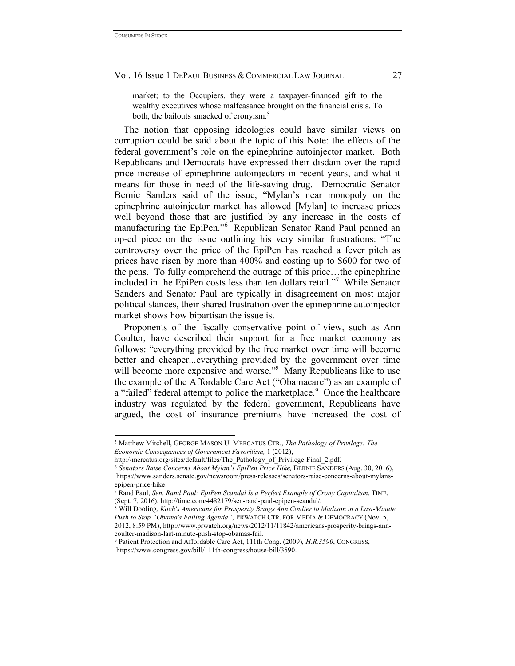market; to the Occupiers, they were a taxpayer-financed gift to the wealthy executives whose malfeasance brought on the financial crisis. To both, the bailouts smacked of cronyism.<sup>5</sup>

The notion that opposing ideologies could have similar views on corruption could be said about the topic of this Note: the effects of the federal government's role on the epinephrine autoinjector market. Both Republicans and Democrats have expressed their disdain over the rapid price increase of epinephrine autoinjectors in recent years, and what it means for those in need of the life-saving drug. Democratic Senator Bernie Sanders said of the issue, "Mylan's near monopoly on the epinephrine autoinjector market has allowed [Mylan] to increase prices well beyond those that are justified by any increase in the costs of manufacturing the EpiPen."<sup>6</sup> Republican Senator Rand Paul penned an op-ed piece on the issue outlining his very similar frustrations: "The controversy over the price of the EpiPen has reached a fever pitch as prices have risen by more than 400% and costing up to \$600 for two of the pens. To fully comprehend the outrage of this price…the epinephrine included in the EpiPen costs less than ten dollars retail."<sup>7</sup> While Senator Sanders and Senator Paul are typically in disagreement on most major political stances, their shared frustration over the epinephrine autoinjector market shows how bipartisan the issue is.

Proponents of the fiscally conservative point of view, such as Ann Coulter, have described their support for a free market economy as follows: "everything provided by the free market over time will become better and cheaper...everything provided by the government over time will become more expensive and worse."<sup>8</sup> Many Republicans like to use the example of the Affordable Care Act ("Obamacare") as an example of a "failed" federal attempt to police the marketplace.<sup>9</sup> Once the healthcare industry was regulated by the federal government, Republicans have argued, the cost of insurance premiums have increased the cost of

 <sup>5</sup> Matthew Mitchell, GEORGE MASON U. MERCATUS CTR., *The Pathology of Privilege: The Economic Consequences of Government Favoritism,* 1 (2012),

http://mercatus.org/sites/default/files/The\_Pathology\_of\_Privilege-Final\_2.pdf.

<sup>6</sup> *Senators Raise Concerns About Mylan's EpiPen Price Hike,* BERNIE SANDERS (Aug. 30, 2016), https://www.sanders.senate.gov/newsroom/press-releases/senators-raise-concerns-about-mylansepipen-price-hike.

<sup>7</sup> Rand Paul, *Sen. Rand Paul: EpiPen Scandal Is a Perfect Example of Crony Capitalism*, TIME, (Sept. 7, 2016), http://time.com/4482179/sen-rand-paul-epipen-scandal/.

<sup>8</sup> Will Dooling, *Koch's Americans for Prosperity Brings Ann Coulter to Madison in a Last-Minute Push to Stop "Obama's Failing Agenda"*, PRWATCH CTR. FOR MEDIA & DEMOCRACY (Nov. 5, 2012, 8:59 PM), http://www.prwatch.org/news/2012/11/11842/americans-prosperity-brings-ann-

coulter-madison-last-minute-push-stop-obamas-fail. 9 Patient Protection and Affordable Care Act, 111th Cong. (2009)*, H.R.3590*, CONGRESS, https://www.congress.gov/bill/111th-congress/house-bill/3590.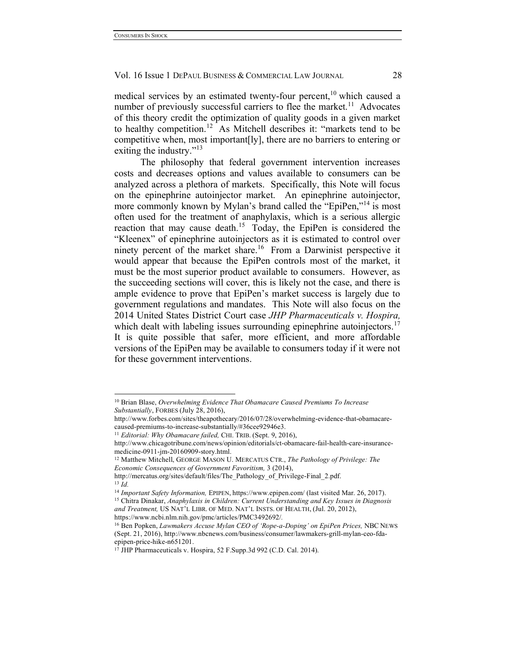medical services by an estimated twenty-four percent,<sup>10</sup> which caused a number of previously successful carriers to flee the market.<sup>11</sup> Advocates of this theory credit the optimization of quality goods in a given market to healthy competition.<sup>12</sup> As Mitchell describes it: "markets tend to be competitive when, most important[ly], there are no barriers to entering or exiting the industry."<sup>13</sup>

The philosophy that federal government intervention increases costs and decreases options and values available to consumers can be analyzed across a plethora of markets. Specifically, this Note will focus on the epinephrine autoinjector market. An epinephrine autoinjector, more commonly known by Mylan's brand called the "EpiPen,"<sup>14</sup> is most often used for the treatment of anaphylaxis, which is a serious allergic reaction that may cause death.15 Today, the EpiPen is considered the "Kleenex" of epinephrine autoinjectors as it is estimated to control over ninety percent of the market share.<sup>16</sup> From a Darwinist perspective it would appear that because the EpiPen controls most of the market, it must be the most superior product available to consumers. However, as the succeeding sections will cover, this is likely not the case, and there is ample evidence to prove that EpiPen's market success is largely due to government regulations and mandates. This Note will also focus on the 2014 United States District Court case *JHP Pharmaceuticals v. Hospira,*  which dealt with labeling issues surrounding epinephrine autoinjectors.<sup>17</sup> It is quite possible that safer, more efficient, and more affordable versions of the EpiPen may be available to consumers today if it were not for these government interventions.

 <sup>10</sup> Brian Blase, *Overwhelming Evidence That Obamacare Caused Premiums To Increase Substantially*, FORBES (July 28, 2016),

http://www.forbes.com/sites/theapothecary/2016/07/28/overwhelming-evidence-that-obamacarecaused-premiums-to-increase-substantially/#36cee92946e3.

<sup>11</sup> *Editorial: Why Obamacare failed,* CHI. TRIB. (Sept. 9, 2016),

http://www.chicagotribune.com/news/opinion/editorials/ct-obamacare-fail-health-care-insurancemedicine-0911-jm-20160909-story.html.

<sup>12</sup> Matthew Mitchell, GEORGE MASON U. MERCATUS CTR., *The Pathology of Privilege: The Economic Consequences of Government Favoritism,* 3 (2014),

http://mercatus.org/sites/default/files/The\_Pathology\_of\_Privilege-Final\_2.pdf. <sup>13</sup> *Id.*

<sup>14</sup> *Important Safety Information,* EPIPEN, https://www.epipen.com/ (last visited Mar. 26, 2017).

<sup>15</sup> Chitra Dinakar, *Anaphylaxis in Children: Current Understanding and Key Issues in Diagnosis and Treatment,* US NAT'L LIBR. OF MED. NAT'L INSTS. OF HEALTH, (Jul. 20, 2012),

https://www.ncbi.nlm.nih.gov/pmc/articles/PMC3492692/*.*

<sup>16</sup> Ben Popken, *Lawmakers Accuse Mylan CEO of 'Rope-a-Doping' on EpiPen Prices,* NBC NEWS (Sept. 21, 2016), http://www.nbcnews.com/business/consumer/lawmakers-grill-mylan-ceo-fdaepipen-price-hike-n651201.

<sup>17</sup> JHP Pharmaceuticals v. Hospira, 52 F.Supp.3d 992 (C.D. Cal. 2014).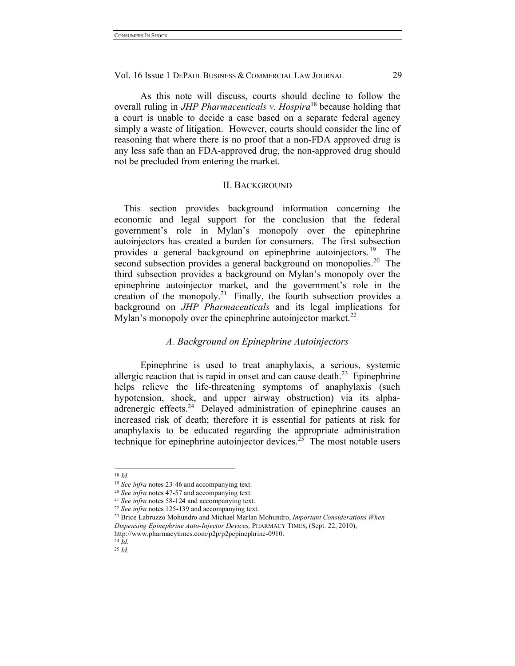As this note will discuss, courts should decline to follow the overall ruling in *JHP Pharmaceuticals v. Hospira*<sup>18</sup> because holding that a court is unable to decide a case based on a separate federal agency simply a waste of litigation. However, courts should consider the line of reasoning that where there is no proof that a non-FDA approved drug is any less safe than an FDA-approved drug, the non-approved drug should not be precluded from entering the market.

#### II. BACKGROUND

This section provides background information concerning the economic and legal support for the conclusion that the federal government's role in Mylan's monopoly over the epinephrine autoinjectors has created a burden for consumers. The first subsection provides a general background on epinephrine autoinjectors. 19 The second subsection provides a general background on monopolies.<sup>20</sup> The third subsection provides a background on Mylan's monopoly over the epinephrine autoinjector market, and the government's role in the creation of the monopoly.<sup>21</sup> Finally, the fourth subsection provides a background on *JHP Pharmaceuticals* and its legal implications for Mylan's monopoly over the epinephrine autoinjector market.<sup>22</sup>

## *A. Background on Epinephrine Autoinjectors*

Epinephrine is used to treat anaphylaxis, a serious, systemic allergic reaction that is rapid in onset and can cause death.<sup>23</sup> Epinephrine helps relieve the life-threatening symptoms of anaphylaxis (such hypotension, shock, and upper airway obstruction) via its alphaadrenergic effects.<sup>24</sup> Delayed administration of epinephrine causes an increased risk of death; therefore it is essential for patients at risk for anaphylaxis to be educated regarding the appropriate administration technique for epinephrine autoinjector devices.<sup>25</sup> The most notable users

 <sup>18</sup> *Id.*

<sup>19</sup> *See infra* notes 23-46 and accompanying text.

<sup>20</sup> *See infra* notes 47-57 and accompanying text.

<sup>21</sup> *See infra* notes 58-124 and accompanying text.

<sup>22</sup> *See infra* notes 125-139 and accompanying text.

<sup>23</sup> Brice Labruzzo Mohundro and Michael Marlan Mohundro, *Important Considerations When Dispensing Epinephrine Auto-Injector Devices,* PHARMACY TIMES, (Sept. 22, 2010), http://www.pharmacytimes.com/p2p/p2pepinephrine-0910.

<sup>24</sup> *Id.*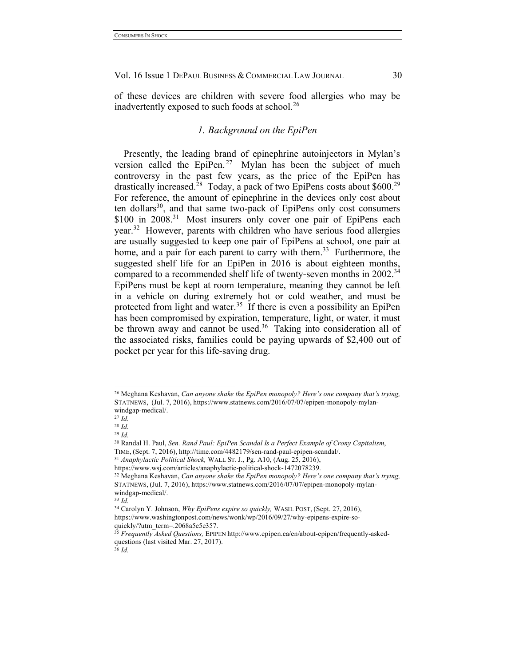of these devices are children with severe food allergies who may be inadvertently exposed to such foods at school.<sup>26</sup>

## *1. Background on the EpiPen*

Presently, the leading brand of epinephrine autoinjectors in Mylan's version called the EpiPen.<sup>27</sup> Mylan has been the subject of much controversy in the past few years, as the price of the EpiPen has drastically increased.<sup>28</sup> Today, a pack of two EpiPens costs about  $$600.<sup>29</sup>$ For reference, the amount of epinephrine in the devices only cost about ten dollars $30$ , and that same two-pack of EpiPens only cost consumers \$100 in 2008.<sup>31</sup> Most insurers only cover one pair of EpiPens each year.32 However, parents with children who have serious food allergies are usually suggested to keep one pair of EpiPens at school, one pair at home, and a pair for each parent to carry with them.<sup>33</sup> Furthermore, the suggested shelf life for an EpiPen in 2016 is about eighteen months, compared to a recommended shelf life of twenty-seven months in 2002.<sup>34</sup> EpiPens must be kept at room temperature, meaning they cannot be left in a vehicle on during extremely hot or cold weather, and must be protected from light and water.<sup>35</sup> If there is even a possibility an EpiPen has been compromised by expiration, temperature, light, or water, it must be thrown away and cannot be used.<sup>36</sup> Taking into consideration all of the associated risks, families could be paying upwards of \$2,400 out of pocket per year for this life-saving drug.

 <sup>26</sup> Meghana Keshavan, *Can anyone shake the EpiPen monopoly? Here's one company that's trying,* STATNEWS, (Jul. 7, 2016), https://www.statnews.com/2016/07/07/epipen-monopoly-mylanwindgap-medical/.

<sup>27</sup> *Id.*

<sup>28</sup> *Id.*

<sup>29</sup> *Id.* 

<sup>30</sup> Randal H. Paul, *Sen. Rand Paul: EpiPen Scandal Is a Perfect Example of Crony Capitalism*, TIME, (Sept. 7, 2016), http://time.com/4482179/sen-rand-paul-epipen-scandal/.

<sup>31</sup> *Anaphylactic Political Shock,* WALL ST. J., Pg. A10, (Aug. 25, 2016),

https://www.wsj.com/articles/anaphylactic-political-shock-1472078239. 32 Meghana Keshavan, *Can anyone shake the EpiPen monopoly? Here's one company that's trying,*  STATNEWS, (Jul. 7, 2016), https://www.statnews.com/2016/07/07/epipen-monopoly-mylanwindgap-medical/.

<sup>33</sup> *Id.*

<sup>34</sup> Carolyn Y. Johnson, *Why EpiPens expire so quickly,* WASH. POST, (Sept. 27, 2016), https://www.washingtonpost.com/news/wonk/wp/2016/09/27/why-epipens-expire-soquickly/?utm\_term=.2068a5e5e357.

<sup>35</sup> *Frequently Asked Questions,* EPIPEN http://www.epipen.ca/en/about-epipen/frequently-askedquestions (last visited Mar. 27, 2017).

<sup>36</sup> *Id.*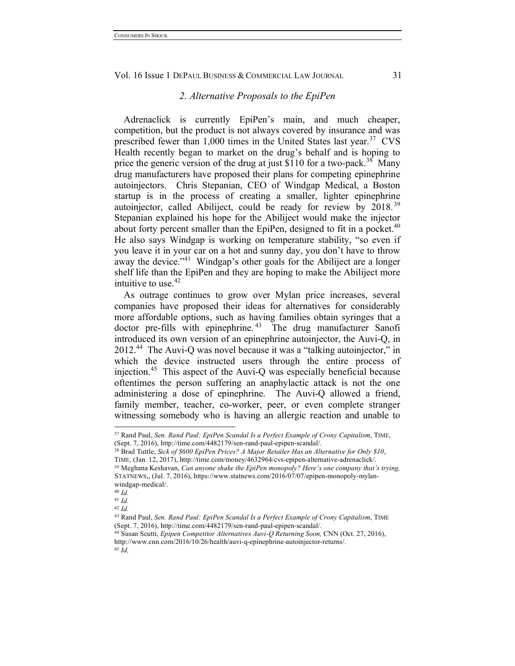#### *2. Alternative Proposals to the EpiPen*

Adrenaclick is currently EpiPen's main, and much cheaper, competition, but the product is not always covered by insurance and was prescribed fewer than  $1,000$  times in the United States last year.<sup>37</sup> CVS Health recently began to market on the drug's behalf and is hoping to price the generic version of the drug at just \$110 for a two-pack.<sup>38</sup> Many drug manufacturers have proposed their plans for competing epinephrine autoinjectors. Chris Stepanian, CEO of Windgap Medical, a Boston startup is in the process of creating a smaller, lighter epinephrine autoinjector, called Abiliject, could be ready for review by  $2018.^{39}$ Stepanian explained his hope for the Abiliject would make the injector about forty percent smaller than the EpiPen, designed to fit in a pocket.<sup>40</sup> He also says Windgap is working on temperature stability, "so even if you leave it in your car on a hot and sunny day, you don't have to throw away the device."<sup>41</sup> Windgap's other goals for the Abiliject are a longer shelf life than the EpiPen and they are hoping to make the Abiliject more intuitive to use.  $42$ 

As outrage continues to grow over Mylan price increases, several companies have proposed their ideas for alternatives for considerably more affordable options, such as having families obtain syringes that a doctor pre-fills with epinephrine.<sup>43</sup> The drug manufacturer Sanofi introduced its own version of an epinephrine autoinjector, the Auvi-Q, in 2012.44 The Auvi-Q was novel because it was a "talking autoinjector," in which the device instructed users through the entire process of injection.45 This aspect of the Auvi-Q was especially beneficial because oftentimes the person suffering an anaphylactic attack is not the one administering a dose of epinephrine. The Auvi-Q allowed a friend, family member, teacher, co-worker, peer, or even complete stranger witnessing somebody who is having an allergic reaction and unable to

<sup>40</sup> *Id.*

 <sup>37</sup> Rand Paul, *Sen. Rand Paul: EpiPen Scandal Is a Perfect Example of Crony Capitalism*, TIME, (Sept. 7, 2016), http://time.com/4482179/sen-rand-paul-epipen-scandal/.

<sup>38</sup> Brad Tuttle, *Sick of \$600 EpiPen Prices? A Major Retailer Has an Alternative for Only \$10*, TIME, (Jan. 12, 2017), http://time.com/money/4632964/cvs-epipen-alternative-adrenaclick/. <sup>39</sup> Meghana Keshavan, *Can anyone shake the EpiPen monopoly? Here's one company that's trying,*  STATNEWS,, (Jul. 7, 2016), https://www.statnews.com/2016/07/07/epipen-monopoly-mylan-

windgap-medical/.

<sup>41</sup> *Id.*

<sup>42</sup> *Id.*

<sup>43</sup> Rand Paul, *Sen. Rand Paul: EpiPen Scandal Is a Perfect Example of Crony Capitalism*, TIME (Sept. 7, 2016), http://time.com/4482179/sen-rand-paul-epipen-scandal/.

<sup>44</sup> Susan Scutti, *Epipen Competitor Alternatives Auvi-Q Returning Soon,* CNN (Oct. 27, 2016), http://www.cnn.com/2016/10/26/health/auvi-q-epinephrine-autoinjector-returns/. <sup>45</sup> *Id,*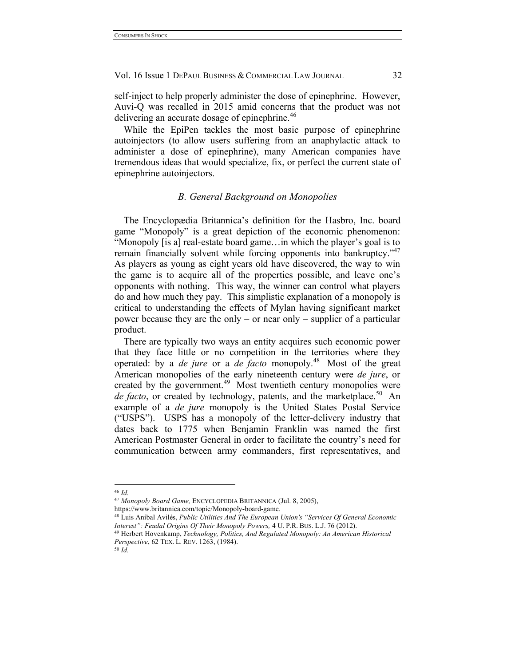self-inject to help properly administer the dose of epinephrine. However, Auvi-Q was recalled in 2015 amid concerns that the product was not delivering an accurate dosage of epinephrine.<sup>46</sup>

While the EpiPen tackles the most basic purpose of epinephrine autoinjectors (to allow users suffering from an anaphylactic attack to administer a dose of epinephrine), many American companies have tremendous ideas that would specialize, fix, or perfect the current state of epinephrine autoinjectors.

#### *B. General Background on Monopolies*

The Encyclopædia Britannica's definition for the Hasbro, Inc. board game "Monopoly" is a great depiction of the economic phenomenon: "Monopoly [is a] real-estate board game…in which the player's goal is to remain financially solvent while forcing opponents into bankruptcy."<sup>47</sup> As players as young as eight years old have discovered, the way to win the game is to acquire all of the properties possible, and leave one's opponents with nothing. This way, the winner can control what players do and how much they pay. This simplistic explanation of a monopoly is critical to understanding the effects of Mylan having significant market power because they are the only – or near only – supplier of a particular product.

There are typically two ways an entity acquires such economic power that they face little or no competition in the territories where they operated: by a *de jure* or a *de facto* monopoly.48 Most of the great American monopolies of the early nineteenth century were *de jure*, or created by the government. $49$  Most twentieth century monopolies were *de facto*, or created by technology, patents, and the marketplace.<sup>50</sup> An example of a *de jure* monopoly is the United States Postal Service ("USPS"). USPS has a monopoly of the letter-delivery industry that dates back to 1775 when Benjamin Franklin was named the first American Postmaster General in order to facilitate the country's need for communication between army commanders, first representatives, and

 <sup>46</sup> *Id.*

<sup>47</sup> *Monopoly Board Game,* ENCYCLOPEDIA BRITANNICA (Jul. 8, 2005),

https://www.britannica.com/topic/Monopoly-board-game.

<sup>48</sup> Luis Aníbal Avilés, *Public Utilities And The European Union's "Services Of General Economic Interest": Feudal Origins Of Their Monopoly Powers,* 4 U. P.R. BUS. L.J. 76 (2012).

<sup>49</sup> Herbert Hovenkamp, *Technology, Politics, And Regulated Monopoly: An American Historical Perspective*, 62 TEX. L. REV. 1263, (1984). <sup>50</sup> *Id.*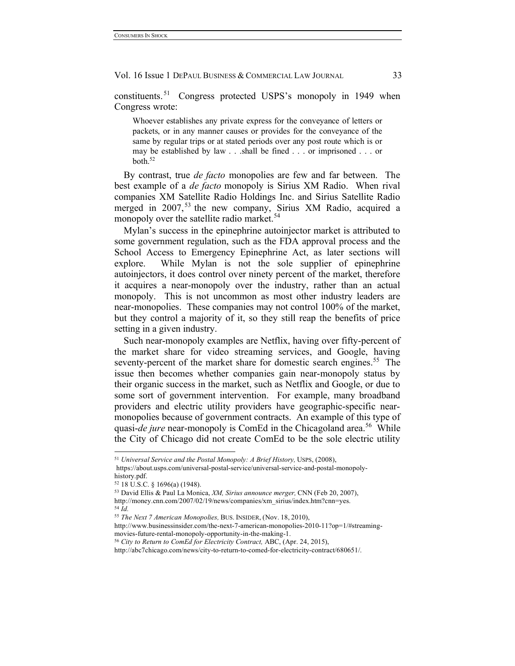constituents. 51 Congress protected USPS's monopoly in 1949 when Congress wrote:

Whoever establishes any private express for the conveyance of letters or packets, or in any manner causes or provides for the conveyance of the same by regular trips or at stated periods over any post route which is or may be established by law . . .shall be fined . . . or imprisoned . . . or both.52

By contrast, true *de facto* monopolies are few and far between. The best example of a *de facto* monopoly is Sirius XM Radio. When rival companies XM Satellite Radio Holdings Inc. and Sirius Satellite Radio merged in 2007,<sup>53</sup> the new company, Sirius XM Radio, acquired a monopoly over the satellite radio market.<sup>54</sup>

Mylan's success in the epinephrine autoinjector market is attributed to some government regulation, such as the FDA approval process and the School Access to Emergency Epinephrine Act, as later sections will explore. While Mylan is not the sole supplier of epinephrine autoinjectors, it does control over ninety percent of the market, therefore it acquires a near-monopoly over the industry, rather than an actual monopoly. This is not uncommon as most other industry leaders are near-monopolies. These companies may not control 100% of the market, but they control a majority of it, so they still reap the benefits of price setting in a given industry.

Such near-monopoly examples are Netflix, having over fifty-percent of the market share for video streaming services, and Google, having seventy-percent of the market share for domestic search engines.<sup>55</sup> The issue then becomes whether companies gain near-monopoly status by their organic success in the market, such as Netflix and Google, or due to some sort of government intervention. For example, many broadband providers and electric utility providers have geographic-specific nearmonopolies because of government contracts. An example of this type of quasi-*de jure* near-monopoly is ComEd in the Chicagoland area.<sup>56</sup> While the City of Chicago did not create ComEd to be the sole electric utility

 <sup>51</sup> *Universal Service and the Postal Monopoly: A Brief History,* USPS, (2008), https://about.usps.com/universal-postal-service/universal-service-and-postal-monopoly-

history.pdf.

<sup>52</sup> 18 U.S.C. § 1696(a) (1948).

<sup>53</sup> David Ellis & Paul La Monica, *XM, Sirius announce merger,* CNN (Feb 20, 2007),

http://money.cnn.com/2007/02/19/news/companies/xm\_sirius/index.htm?cnn=yes. <sup>54</sup> *Id.*

<sup>55</sup> *The Next 7 American Monopolies,* BUS. INSIDER, (Nov. 18, 2010),

http://www.businessinsider.com/the-next-7-american-monopolies-2010-11?op=1/#streamingmovies-future-rental-monopoly-opportunity-in-the-making-1.

<sup>56</sup> *City to Return to ComEd for Electricity Contract,* ABC, (Apr. 24, 2015), http://abc7chicago.com/news/city-to-return-to-comed-for-electricity-contract/680651/.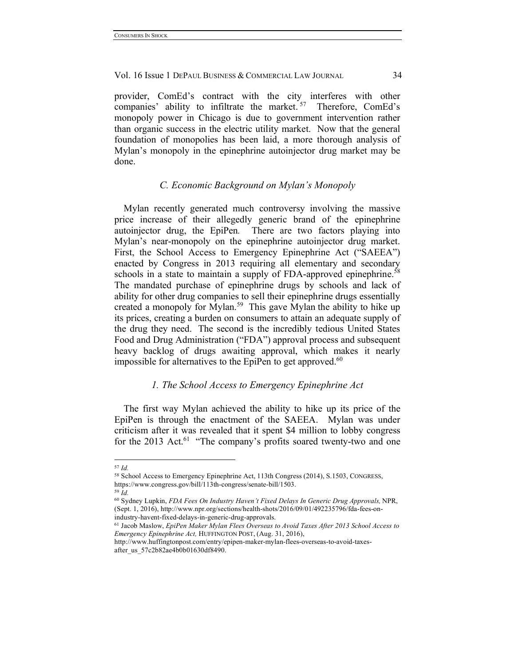provider, ComEd's contract with the city interferes with other companies' ability to infiltrate the market.<sup>57</sup> Therefore, ComEd's monopoly power in Chicago is due to government intervention rather than organic success in the electric utility market. Now that the general foundation of monopolies has been laid, a more thorough analysis of Mylan's monopoly in the epinephrine autoinjector drug market may be done.

## *C. Economic Background on Mylan's Monopoly*

Mylan recently generated much controversy involving the massive price increase of their allegedly generic brand of the epinephrine autoinjector drug, the EpiPen*.* There are two factors playing into Mylan's near-monopoly on the epinephrine autoinjector drug market. First, the School Access to Emergency Epinephrine Act ("SAEEA") enacted by Congress in 2013 requiring all elementary and secondary schools in a state to maintain a supply of FDA-approved epinephrine.<sup>58</sup> The mandated purchase of epinephrine drugs by schools and lack of ability for other drug companies to sell their epinephrine drugs essentially created a monopoly for Mylan.<sup>59</sup> This gave Mylan the ability to hike up its prices, creating a burden on consumers to attain an adequate supply of the drug they need.The second is the incredibly tedious United States Food and Drug Administration ("FDA") approval process and subsequent heavy backlog of drugs awaiting approval, which makes it nearly impossible for alternatives to the EpiPen to get approved.<sup>60</sup>

#### *1. The School Access to Emergency Epinephrine Act*

The first way Mylan achieved the ability to hike up its price of the EpiPen is through the enactment of the SAEEA. Mylan was under criticism after it was revealed that it spent \$4 million to lobby congress for the 2013 Act.<sup>61</sup> "The company's profits soared twenty-two and one

 <sup>57</sup> *Id.*

<sup>58</sup> School Access to Emergency Epinephrine Act, 113th Congress (2014), S.1503, CONGRESS, https://www.congress.gov/bill/113th-congress/senate-bill/1503.

<sup>59</sup> *Id.*

<sup>60</sup> Sydney Lupkin, *FDA Fees On Industry Haven't Fixed Delays In Generic Drug Approvals,* NPR, (Sept. 1, 2016), http://www.npr.org/sections/health-shots/2016/09/01/492235796/fda-fees-onindustry-havent-fixed-delays-in-generic-drug-approvals.

<sup>61</sup> Jacob Maslow, *EpiPen Maker Mylan Flees Overseas to Avoid Taxes After 2013 School Access to Emergency Epinephrine Act,* HUFFINGTON POST, (Aug. 31, 2016),

http://www.huffingtonpost.com/entry/epipen-maker-mylan-flees-overseas-to-avoid-taxesafter\_us\_57c2b82ae4b0b01630df8490.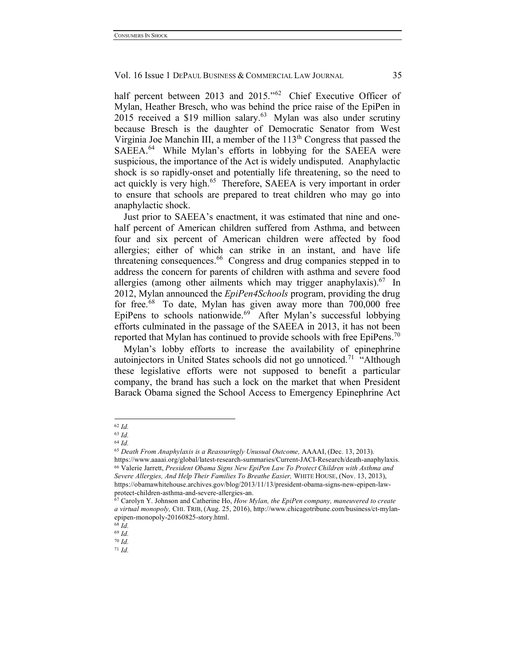half percent between 2013 and 2015."<sup>62</sup> Chief Executive Officer of Mylan, Heather Bresch, who was behind the price raise of the EpiPen in 2015 received a \$19 million salary.<sup>63</sup> Mylan was also under scrutiny because Bresch is the daughter of Democratic Senator from West Virginia Joe Manchin III, a member of the 113<sup>th</sup> Congress that passed the SAEEA.<sup>64</sup> While Mylan's efforts in lobbying for the SAEEA were suspicious, the importance of the Act is widely undisputed. Anaphylactic shock is so rapidly-onset and potentially life threatening, so the need to act quickly is very high.<sup>65</sup> Therefore, SAEEA is very important in order to ensure that schools are prepared to treat children who may go into anaphylactic shock.

Just prior to SAEEA's enactment, it was estimated that nine and onehalf percent of American children suffered from Asthma, and between four and six percent of American children were affected by food allergies; either of which can strike in an instant, and have life threatening consequences.<sup>66</sup> Congress and drug companies stepped in to address the concern for parents of children with asthma and severe food allergies (among other ailments which may trigger anaphylaxis).<sup>67</sup> In 2012, Mylan announced the *EpiPen4Schools* program, providing the drug for free.<sup>68</sup> To date, Mylan has given away more than  $700,000$  free EpiPens to schools nationwide.<sup>69</sup> After Mylan's successful lobbying efforts culminated in the passage of the SAEEA in 2013, it has not been reported that Mylan has continued to provide schools with free EpiPens.<sup>70</sup>

Mylan's lobby efforts to increase the availability of epinephrine autoinjectors in United States schools did not go unnoticed.<sup>71</sup> "Although these legislative efforts were not supposed to benefit a particular company, the brand has such a lock on the market that when President Barack Obama signed the School Access to Emergency Epinephrine Act

 <sup>62</sup> *Id.*

<sup>63</sup> *Id.*

<sup>64</sup> *Id.*

<sup>65</sup> *Death From Anaphylaxis is a Reassuringly Unusual Outcome,* AAAAI, (Dec. 13, 2013).

https://www.aaaai.org/global/latest-research-summaries/Current-JACI-Research/death-anaphylaxis. <sup>66</sup> Valerie Jarrett, *President Obama Signs New EpiPen Law To Protect Children with Asthma and Severe Allergies, And Help Their Families To Breathe Easier,* WHITE HOUSE, (Nov. 13, 2013), https://obamawhitehouse.archives.gov/blog/2013/11/13/president-obama-signs-new-epipen-lawprotect-children-asthma-and-severe-allergies-an.

<sup>67</sup> Carolyn Y. Johnson and Catherine Ho, *How Mylan, the EpiPen company, maneuvered to create a virtual monopoly,* CHI. TRIB, (Aug. 25, 2016), http://www.chicagotribune.com/business/ct-mylanepipen-monopoly-20160825-story.html.

<sup>68</sup> *Id.*

<sup>69</sup> *Id.*

<sup>70</sup> *Id.* <sup>71</sup> *Id.*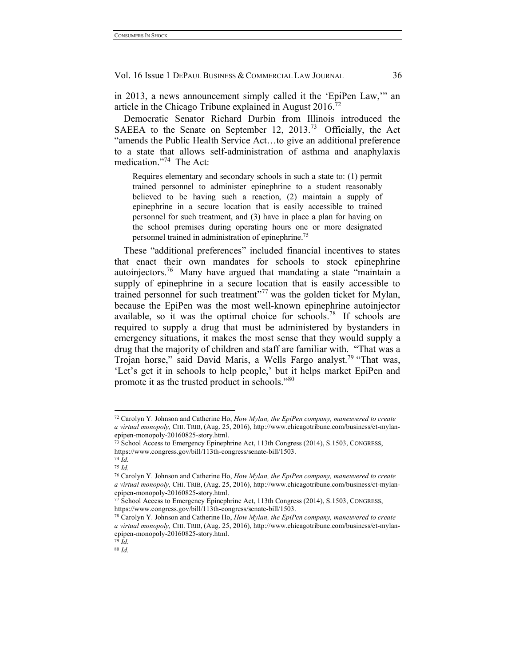in 2013, a news announcement simply called it the 'EpiPen Law,'" an article in the Chicago Tribune explained in August  $2016$ <sup>72</sup>

Democratic Senator Richard Durbin from Illinois introduced the SAEEA to the Senate on September 12, 2013.73 Officially, the Act "amends the Public Health Service Act…to give an additional preference to a state that allows self-administration of asthma and anaphylaxis medication."74 The Act:

Requires elementary and secondary schools in such a state to: (1) permit trained personnel to administer epinephrine to a student reasonably believed to be having such a reaction, (2) maintain a supply of epinephrine in a secure location that is easily accessible to trained personnel for such treatment, and (3) have in place a plan for having on the school premises during operating hours one or more designated personnel trained in administration of epinephrine.75

These "additional preferences" included financial incentives to states that enact their own mandates for schools to stock epinephrine autoinjectors.76 Many have argued that mandating a state "maintain a supply of epinephrine in a secure location that is easily accessible to trained personnel for such treatment"<sup>77</sup> was the golden ticket for Mylan, because the EpiPen was the most well-known epinephrine autoinjector available, so it was the optimal choice for schools.<sup>78</sup> If schools are required to supply a drug that must be administered by bystanders in emergency situations, it makes the most sense that they would supply a drug that the majority of children and staff are familiar with. "That was a Trojan horse," said David Maris, a Wells Fargo analyst.<sup>79</sup> "That was, 'Let's get it in schools to help people,' but it helps market EpiPen and promote it as the trusted product in schools."80

 <sup>72</sup> Carolyn Y. Johnson and Catherine Ho, *How Mylan, the EpiPen company, maneuvered to create a virtual monopoly,* CHI. TRIB, (Aug. 25, 2016), http://www.chicagotribune.com/business/ct-mylanepipen-monopoly-20160825-story.html.

<sup>73</sup> School Access to Emergency Epinephrine Act, 113th Congress (2014), S.1503, CONGRESS, https://www.congress.gov/bill/113th-congress/senate-bill/1503.

<sup>74</sup> *Id.*

<sup>75</sup> *Id.*

<sup>76</sup> Carolyn Y. Johnson and Catherine Ho, *How Mylan, the EpiPen company, maneuvered to create a virtual monopoly,* CHI. TRIB, (Aug. 25, 2016), http://www.chicagotribune.com/business/ct-mylanepipen-monopoly-20160825-story.html.

<sup>77</sup> School Access to Emergency Epinephrine Act, 113th Congress (2014), S.1503, CONGRESS, https://www.congress.gov/bill/113th-congress/senate-bill/1503.

<sup>78</sup> Carolyn Y. Johnson and Catherine Ho, *How Mylan, the EpiPen company, maneuvered to create a virtual monopoly,* CHI. TRIB, (Aug. 25, 2016), http://www.chicagotribune.com/business/ct-mylanepipen-monopoly-20160825-story.html.

<sup>79</sup> *Id.*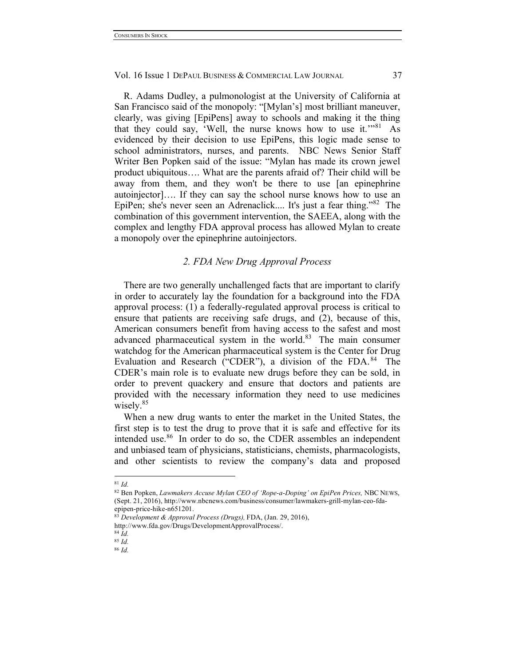R. Adams Dudley, a pulmonologist at the University of California at San Francisco said of the monopoly: "[Mylan's] most brilliant maneuver, clearly, was giving [EpiPens] away to schools and making it the thing that they could say, 'Well, the nurse knows how to use it.'"<sup>81</sup> As evidenced by their decision to use EpiPens, this logic made sense to school administrators, nurses, and parents. NBC News Senior Staff Writer Ben Popken said of the issue: "Mylan has made its crown jewel product ubiquitous…. What are the parents afraid of? Their child will be away from them, and they won't be there to use [an epinephrine autoinjector]…. If they can say the school nurse knows how to use an EpiPen; she's never seen an Adrenaclick.... It's just a fear thing."82 The combination of this government intervention, the SAEEA, along with the complex and lengthy FDA approval process has allowed Mylan to create a monopoly over the epinephrine autoinjectors.

## *2. FDA New Drug Approval Process*

There are two generally unchallenged facts that are important to clarify in order to accurately lay the foundation for a background into the FDA approval process: (1) a federally-regulated approval process is critical to ensure that patients are receiving safe drugs, and (2), because of this, American consumers benefit from having access to the safest and most advanced pharmaceutical system in the world. $83$  The main consumer watchdog for the American pharmaceutical system is the Center for Drug Evaluation and Research ("CDER"), a division of the FDA. 84 The CDER's main role is to evaluate new drugs before they can be sold, in order to prevent quackery and ensure that doctors and patients are provided with the necessary information they need to use medicines wisely.<sup>85</sup>

When a new drug wants to enter the market in the United States, the first step is to test the drug to prove that it is safe and effective for its intended use.<sup>86</sup> In order to do so, the CDER assembles an independent and unbiased team of physicians, statisticians, chemists, pharmacologists, and other scientists to review the company's data and proposed

 <sup>81</sup> *Id.*

<sup>82</sup> Ben Popken, *Lawmakers Accuse Mylan CEO of 'Rope-a-Doping' on EpiPen Prices,* NBC NEWS, (Sept. 21, 2016), http://www.nbcnews.com/business/consumer/lawmakers-grill-mylan-ceo-fdaepipen-price-hike-n651201.

<sup>83</sup> *Development & Approval Process (Drugs),* FDA, (Jan. 29, 2016),

http://www.fda.gov/Drugs/DevelopmentApprovalProcess/.

<sup>84</sup> *Id.*

<sup>85</sup> *Id.*

<sup>86</sup> *Id.*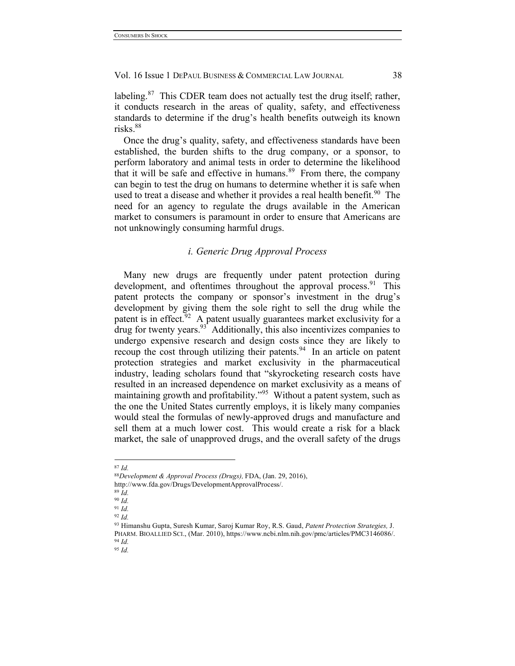labeling. $87$  This CDER team does not actually test the drug itself; rather, it conducts research in the areas of quality, safety, and effectiveness standards to determine if the drug's health benefits outweigh its known risks.<sup>88</sup>

Once the drug's quality, safety, and effectiveness standards have been established, the burden shifts to the drug company, or a sponsor, to perform laboratory and animal tests in order to determine the likelihood that it will be safe and effective in humans.<sup>89</sup> From there, the company can begin to test the drug on humans to determine whether it is safe when used to treat a disease and whether it provides a real health benefit.<sup>90</sup> The need for an agency to regulate the drugs available in the American market to consumers is paramount in order to ensure that Americans are not unknowingly consuming harmful drugs.

## *i. Generic Drug Approval Process*

Many new drugs are frequently under patent protection during development, and oftentimes throughout the approval process.<sup>91</sup> This patent protects the company or sponsor's investment in the drug's development by giving them the sole right to sell the drug while the patent is in effect.<sup>92</sup> A patent usually guarantees market exclusivity for a  $\frac{1}{2}$  drug for twenty years.  $\frac{93}{2}$  Additionally, this also incentivizes companies to undergo expensive research and design costs since they are likely to recoup the cost through utilizing their patents.<sup>94</sup> In an article on patent protection strategies and market exclusivity in the pharmaceutical industry, leading scholars found that "skyrocketing research costs have resulted in an increased dependence on market exclusivity as a means of maintaining growth and profitability."95 Without a patent system, such as the one the United States currently employs, it is likely many companies would steal the formulas of newly-approved drugs and manufacture and sell them at a much lower cost. This would create a risk for a black market, the sale of unapproved drugs, and the overall safety of the drugs

<sup>89</sup> *Id.* <sup>90</sup> *Id.*

 <sup>87</sup> *Id.*

<sup>88</sup>*Development & Approval Process (Drugs),* FDA, (Jan. 29, 2016),

http://www.fda.gov/Drugs/DevelopmentApprovalProcess/.

<sup>91</sup> *Id.*

<sup>92</sup> *Id.*

<sup>93</sup> Himanshu Gupta, Suresh Kumar, Saroj Kumar Roy, R.S. Gaud, *Patent Protection Strategies,* J. PHARM. BIOALLIED SCI., (Mar. 2010), https://www.ncbi.nlm.nih.gov/pmc/articles/PMC3146086/. <sup>94</sup> *Id.*

<sup>95</sup> *Id.*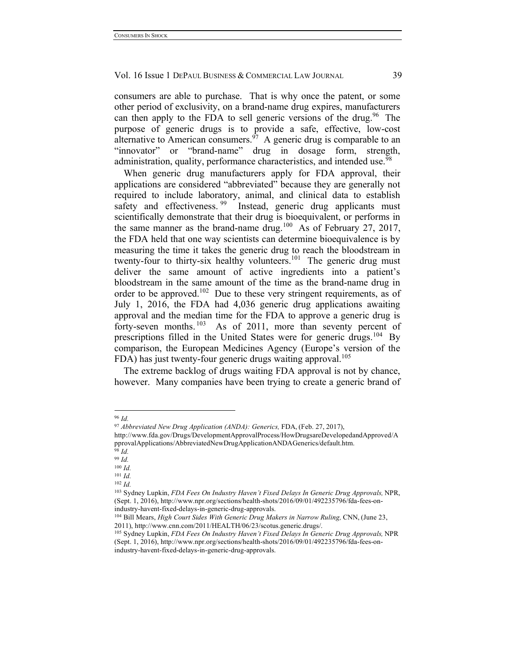consumers are able to purchase. That is why once the patent, or some other period of exclusivity, on a brand-name drug expires, manufacturers can then apply to the FDA to sell generic versions of the drug.<sup>96</sup> The purpose of generic drugs is to provide a safe, effective, low-cost alternative to American consumers.  $\delta^7$  A generic drug is comparable to an "innovator" or "brand-name" drug in dosage form, strength, administration, quality, performance characteristics, and intended use.<sup>98</sup>

When generic drug manufacturers apply for FDA approval, their applications are considered "abbreviated" because they are generally not required to include laboratory, animal, and clinical data to establish safety and effectiveness.<sup>99</sup> Instead, generic drug applicants must scientifically demonstrate that their drug is bioequivalent, or performs in the same manner as the brand-name drug.<sup>100</sup> As of February 27, 2017, the FDA held that one way scientists can determine bioequivalence is by measuring the time it takes the generic drug to reach the bloodstream in twenty-four to thirty-six healthy volunteers.<sup>101</sup> The generic drug must deliver the same amount of active ingredients into a patient's bloodstream in the same amount of the time as the brand-name drug in order to be approved.<sup>102</sup> Due to these very stringent requirements, as of July 1, 2016, the FDA had 4,036 generic drug applications awaiting approval and the median time for the FDA to approve a generic drug is forty-seven months.<sup>103</sup> As of 2011, more than seventy percent of prescriptions filled in the United States were for generic drugs.<sup>104</sup> By comparison, the European Medicines Agency (Europe's version of the FDA) has just twenty-four generic drugs waiting approval.<sup>105</sup>

The extreme backlog of drugs waiting FDA approval is not by chance, however. Many companies have been trying to create a generic brand of

<sup>102</sup> *Id.*

 <sup>96</sup> *Id.*

<sup>97</sup> *Abbreviated New Drug Application (ANDA): Generics,* FDA, (Feb. 27, 2017),

http://www.fda.gov/Drugs/DevelopmentApprovalProcess/HowDrugsareDevelopedandApproved/A pprovalApplications/AbbreviatedNewDrugApplicationANDAGenerics/default.htm. <sup>98</sup> *Id.*

<sup>99</sup> *Id.*

<sup>100</sup> *Id.*

<sup>101</sup> *Id.*

<sup>103</sup> Sydney Lupkin, *FDA Fees On Industry Haven't Fixed Delays In Generic Drug Approvals,* NPR, (Sept. 1, 2016), http://www.npr.org/sections/health-shots/2016/09/01/492235796/fda-fees-onindustry-havent-fixed-delays-in-generic-drug-approvals.

<sup>104</sup> Bill Mears, *High Court Sides With Generic Drug Makers in Narrow Ruling,* CNN, (June 23, 2011), http://www.cnn.com/2011/HEALTH/06/23/scotus.generic.drugs/.

<sup>105</sup> Sydney Lupkin, *FDA Fees On Industry Haven't Fixed Delays In Generic Drug Approvals,* NPR (Sept. 1, 2016), http://www.npr.org/sections/health-shots/2016/09/01/492235796/fda-fees-onindustry-havent-fixed-delays-in-generic-drug-approvals.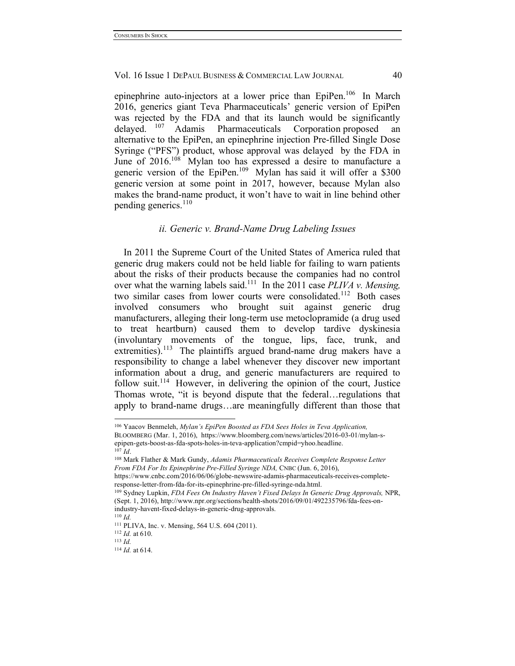epinephrine auto-injectors at a lower price than EpiPen.<sup>106</sup> In March 2016, generics giant Teva Pharmaceuticals' generic version of EpiPen was rejected by the FDA and that its launch would be significantly delayed. <sup>107</sup> Adamis Pharmaceuticals Corporation proposed an Adamis Pharmaceuticals Corporation proposed an alternative to the EpiPen, an epinephrine injection Pre-filled Single Dose Syringe ("PFS") product, whose approval was delayed by the FDA in June of 2016.<sup>108</sup> Mylan too has expressed a desire to manufacture a generic version of the EpiPen.<sup>109</sup> Mylan has said it will offer a \$300 generic version at some point in 2017, however, because Mylan also makes the brand-name product, it won't have to wait in line behind other pending generics. $110$ 

## *ii. Generic v. Brand-Name Drug Labeling Issues*

In 2011 the Supreme Court of the United States of America ruled that generic drug makers could not be held liable for failing to warn patients about the risks of their products because the companies had no control over what the warning labels said.<sup>111</sup> In the 2011 case *PLIVA v. Mensing*, two similar cases from lower courts were consolidated.<sup>112</sup> Both cases involved consumers who brought suit against generic drug manufacturers, alleging their long-term use metoclopramide (a drug used to treat heartburn) caused them to develop tardive dyskinesia (involuntary movements of the tongue, lips, face, trunk, and extremities).<sup>113</sup> The plaintiffs argued brand-name drug makers have a responsibility to change a label whenever they discover new important information about a drug, and generic manufacturers are required to follow suit.<sup>114</sup> However, in delivering the opinion of the court, Justice Thomas wrote, "it is beyond dispute that the federal…regulations that apply to brand-name drugs…are meaningfully different than those that

response-letter-from-fda-for-its-epinephrine-pre-filled-syringe-nda.html.

 <sup>106</sup> Yaacov Benmeleh, *Mylan's EpiPen Boosted as FDA Sees Holes in Teva Application,* BLOOMBERG (Mar. 1, 2016), https://www.bloomberg.com/news/articles/2016-03-01/mylan-sepipen-gets-boost-as-fda-spots-holes-in-teva-application?cmpid=yhoo.headline. <sup>107</sup> *Id*.

<sup>108</sup> Mark Flather & Mark Gundy, *Adamis Pharmaceuticals Receives Complete Response Letter From FDA For Its Epinephrine Pre-Filled Syringe NDA,* CNBC (Jun. 6, 2016), https://www.cnbc.com/2016/06/06/globe-newswire-adamis-pharmaceuticals-receives-complete-

<sup>109</sup> Sydney Lupkin, *FDA Fees On Industry Haven't Fixed Delays In Generic Drug Approvals,* NPR, (Sept. 1, 2016), http://www.npr.org/sections/health-shots/2016/09/01/492235796/fda-fees-onindustry-havent-fixed-delays-in-generic-drug-approvals.

<sup>110</sup> *Id.*

<sup>111</sup> PLIVA, Inc. v. Mensing, 564 U.S. 604 (2011).

<sup>112</sup> *Id.* at 610.

<sup>113</sup> *Id.*

<sup>114</sup> *Id.* at 614.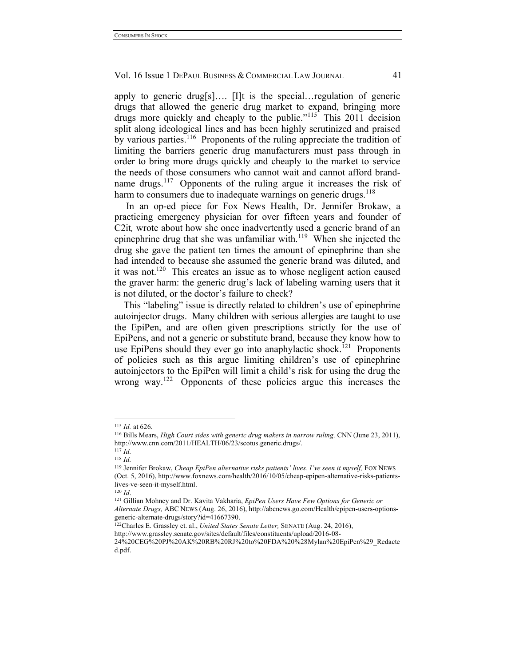apply to generic drug[s]…. [I]t is the special…regulation of generic drugs that allowed the generic drug market to expand, bringing more drugs more quickly and cheaply to the public."<sup>115</sup> This 2011 decision split along ideological lines and has been highly scrutinized and praised by various parties.<sup>116</sup> Proponents of the ruling appreciate the tradition of limiting the barriers generic drug manufacturers must pass through in order to bring more drugs quickly and cheaply to the market to service the needs of those consumers who cannot wait and cannot afford brandname drugs.<sup>117</sup> Opponents of the ruling argue it increases the risk of harm to consumers due to inadequate warnings on generic drugs.<sup>118</sup>

In an op-ed piece for Fox News Health, Dr. Jennifer Brokaw, a practicing emergency physician for over fifteen years and founder of C2it*,* wrote about how she once inadvertently used a generic brand of an epinephrine drug that she was unfamiliar with. $119$  When she injected the drug she gave the patient ten times the amount of epinephrine than she had intended to because she assumed the generic brand was diluted, and it was not.<sup>120</sup> This creates an issue as to whose negligent action caused the graver harm: the generic drug's lack of labeling warning users that it is not diluted, or the doctor's failure to check?

This "labeling" issue is directly related to children's use of epinephrine autoinjector drugs. Many children with serious allergies are taught to use the EpiPen, and are often given prescriptions strictly for the use of EpiPens, and not a generic or substitute brand, because they know how to use EpiPens should they ever go into anaphylactic shock.<sup>121</sup> Proponents of policies such as this argue limiting children's use of epinephrine autoinjectors to the EpiPen will limit a child's risk for using the drug the wrong way.<sup>122</sup> Opponents of these policies argue this increases the

 <sup>115</sup> *Id.* at 626.

<sup>116</sup> Bills Mears, *High Court sides with generic drug makers in narrow ruling,* CNN (June 23, 2011), http://www.cnn.com/2011/HEALTH/06/23/scotus.generic.drugs/.

<sup>117</sup> *Id.*

<sup>118</sup> *Id.*

<sup>&</sup>lt;sup>119</sup> Jennifer Brokaw, *Cheap EpiPen alternative risks patients' lives. I've seen it myself, FOX NEWS* (Oct. 5, 2016), http://www.foxnews.com/health/2016/10/05/cheap-epipen-alternative-risks-patientslives-ve-seen-it-myself.html.

<sup>120</sup> *Id*.

<sup>121</sup> Gillian Mohney and Dr. Kavita Vakharia, *EpiPen Users Have Few Options for Generic or Alternate Drugs,* ABC NEWS (Aug. 26, 2016), http://abcnews.go.com/Health/epipen-users-optionsgeneric-alternate-drugs/story?id=41667390.

<sup>122</sup>Charles E. Grassley et. al., *United States Senate Letter,* SENATE (Aug. 24, 2016),

http://www.grassley.senate.gov/sites/default/files/constituents/upload/2016-08-

<sup>24%20</sup>CEG%20PJ%20AK%20RB%20RJ%20to%20FDA%20%28Mylan%20EpiPen%29\_Redacte d.pdf.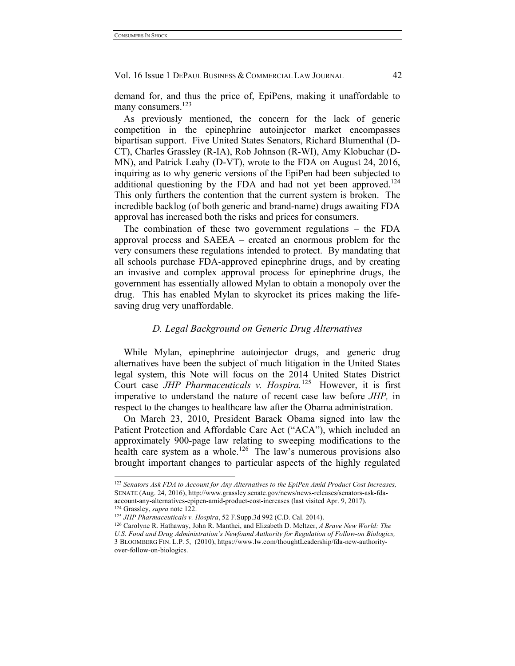demand for, and thus the price of, EpiPens, making it unaffordable to many consumers.<sup>123</sup>

As previously mentioned, the concern for the lack of generic competition in the epinephrine autoinjector market encompasses bipartisan support. Five United States Senators, Richard Blumenthal (D-CT), Charles Grassley (R-IA), Rob Johnson (R-WI), Amy Klobuchar (D-MN), and Patrick Leahy (D-VT), wrote to the FDA on August 24, 2016, inquiring as to why generic versions of the EpiPen had been subjected to additional questioning by the FDA and had not yet been approved.<sup>124</sup> This only furthers the contention that the current system is broken. The incredible backlog (of both generic and brand-name) drugs awaiting FDA approval has increased both the risks and prices for consumers.

The combination of these two government regulations – the FDA approval process and SAEEA – created an enormous problem for the very consumers these regulations intended to protect. By mandating that all schools purchase FDA-approved epinephrine drugs, and by creating an invasive and complex approval process for epinephrine drugs, the government has essentially allowed Mylan to obtain a monopoly over the drug. This has enabled Mylan to skyrocket its prices making the lifesaving drug very unaffordable.

## *D. Legal Background on Generic Drug Alternatives*

While Mylan, epinephrine autoinjector drugs, and generic drug alternatives have been the subject of much litigation in the United States legal system, this Note will focus on the 2014 United States District Court case *JHP Pharmaceuticals v. Hospira.*125 However, it is first imperative to understand the nature of recent case law before *JHP,* in respect to the changes to healthcare law after the Obama administration.

On March 23, 2010, President Barack Obama signed into law the Patient Protection and Affordable Care Act ("ACA"), which included an approximately 900-page law relating to sweeping modifications to the health care system as a whole.<sup>126</sup> The law's numerous provisions also brought important changes to particular aspects of the highly regulated

 <sup>123</sup> *Senators Ask FDA to Account for Any Alternatives to the EpiPen Amid Product Cost Increases,*  SENATE (Aug. 24, 2016), http://www.grassley.senate.gov/news/news-releases/senators-ask-fdaaccount-any-alternatives-epipen-amid-product-cost-increases (last visited Apr. 9, 2017). <sup>124</sup> Grassley, *supra* note 122.

<sup>125</sup> *JHP Pharmaceuticals v. Hospira*, 52 F.Supp.3d 992 (C.D. Cal. 2014).

<sup>126</sup> Carolyne R. Hathaway, John R. Manthei, and Elizabeth D. Meltzer, *A Brave New World: The U.S. Food and Drug Administration's Newfound Authority for Regulation of Follow-on Biologics,* 3 BLOOMBERG FIN. L.P. 5, (2010), https://www.lw.com/thoughtLeadership/fda-new-authorityover-follow-on-biologics.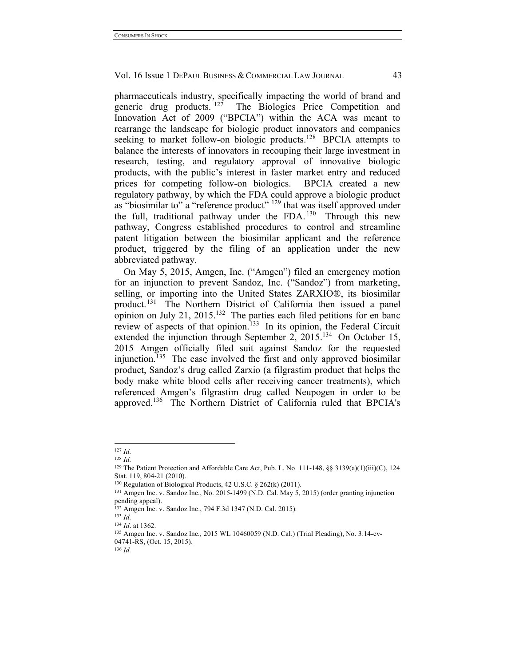pharmaceuticals industry, specifically impacting the world of brand and generic drug products.<sup>127</sup> The Biologics Price Competition and The Biologics Price Competition and Innovation Act of 2009 ("BPCIA") within the ACA was meant to rearrange the landscape for biologic product innovators and companies seeking to market follow-on biologic products.<sup>128</sup> BPCIA attempts to balance the interests of innovators in recouping their large investment in research, testing, and regulatory approval of innovative biologic products, with the public's interest in faster market entry and reduced prices for competing follow-on biologics. BPCIA created a new regulatory pathway, by which the FDA could approve a biologic product as "biosimilar to" a "reference product" <sup>129</sup> that was itself approved under the full, traditional pathway under the  $FDA$ . <sup>130</sup> Through this new pathway, Congress established procedures to control and streamline patent litigation between the biosimilar applicant and the reference product, triggered by the filing of an application under the new abbreviated pathway.

On May 5, 2015, Amgen, Inc. ("Amgen") filed an emergency motion for an injunction to prevent Sandoz, Inc. ("Sandoz") from marketing, selling, or importing into the United States ZARXIO®, its biosimilar product.131 The Northern District of California then issued a panel opinion on July 21, 2015.<sup>132</sup> The parties each filed petitions for en banc review of aspects of that opinion.<sup>133</sup> In its opinion, the Federal Circuit extended the injunction through September 2,  $2015^{134}$  On October 15, 2015 Amgen officially filed suit against Sandoz for the requested injunction.135 The case involved the first and only approved biosimilar product, Sandoz's drug called Zarxio (a filgrastim product that helps the body make white blood cells after receiving cancer treatments), which referenced Amgen's filgrastim drug called Neupogen in order to be approved.136 The Northern District of California ruled that BPCIA's

<sup>136</sup> *Id.*

 <sup>127</sup> *Id.*

<sup>128</sup> *Id.*

<sup>129</sup> The Patient Protection and Affordable Care Act, Pub. L. No. 111-148, §§ 3139(a)(1)(iii)(C), 124 Stat. 119, 804-21 (2010).

<sup>130</sup> Regulation of Biological Products, 42 U.S.C. § 262(k) (2011).

<sup>131</sup> Amgen Inc. v. Sandoz Inc*.*, No. 2015-1499 (N.D. Cal. May 5, 2015) (order granting injunction pending appeal).

<sup>132</sup> Amgen Inc. v. Sandoz Inc., 794 F.3d 1347 (N.D. Cal. 2015).

<sup>133</sup> *Id.*

<sup>134</sup> *Id*. at 1362.

<sup>135</sup> Amgen Inc. v. Sandoz Inc*.,* 2015 WL 10460059 (N.D. Cal.) (Trial Pleading), No. 3:14-cv-04741-RS, (Oct. 15, 2015).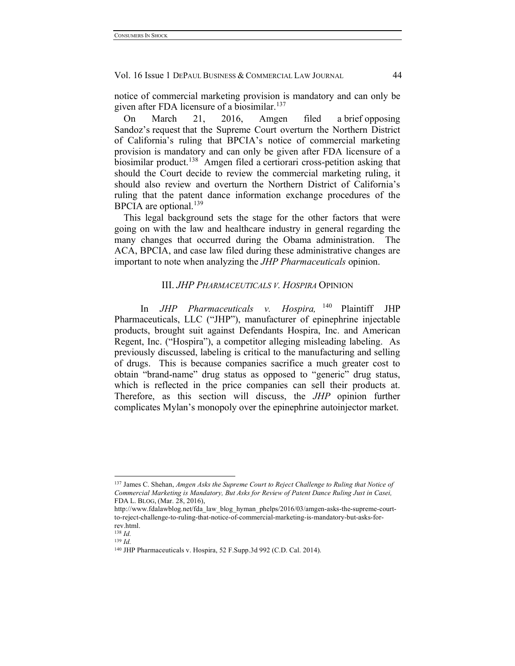notice of commercial marketing provision is mandatory and can only be given after FDA licensure of a biosimilar.<sup>137</sup>

On March 21, 2016, Amgen filed a brief opposing Sandoz's request that the Supreme Court overturn the Northern District of California's ruling that BPCIA's notice of commercial marketing provision is mandatory and can only be given after FDA licensure of a biosimilar product.<sup>138</sup> Amgen filed a certiorari cross-petition asking that should the Court decide to review the commercial marketing ruling, it should also review and overturn the Northern District of California's ruling that the patent dance information exchange procedures of the BPCIA are optional. $^{139}$ 

This legal background sets the stage for the other factors that were going on with the law and healthcare industry in general regarding the many changes that occurred during the Obama administration. The ACA, BPCIA, and case law filed during these administrative changes are important to note when analyzing the *JHP Pharmaceuticals* opinion.

## III. *JHP PHARMACEUTICALS V. HOSPIRA* OPINION

In *JHP Pharmaceuticals v. Hospira,* <sup>140</sup> Plaintiff JHP Pharmaceuticals, LLC ("JHP"), manufacturer of epinephrine injectable products, brought suit against Defendants Hospira, Inc. and American Regent, Inc. ("Hospira"), a competitor alleging misleading labeling. As previously discussed, labeling is critical to the manufacturing and selling of drugs. This is because companies sacrifice a much greater cost to obtain "brand-name" drug status as opposed to "generic" drug status, which is reflected in the price companies can sell their products at. Therefore, as this section will discuss, the *JHP* opinion further complicates Mylan's monopoly over the epinephrine autoinjector market.

 <sup>137</sup> James C. Shehan, *Amgen Asks the Supreme Court to Reject Challenge to Ruling that Notice of Commercial Marketing is Mandatory, But Asks for Review of Patent Dance Ruling Just in Casei,*  FDA L. BLOG, (Mar. 28, 2016),

http://www.fdalawblog.net/fda\_law\_blog\_hyman\_phelps/2016/03/amgen-asks-the-supreme-courtto-reject-challenge-to-ruling-that-notice-of-commercial-marketing-is-mandatory-but-asks-forrev.html.

<sup>138</sup> *Id.*

<sup>139</sup> *Id.*

<sup>140</sup> JHP Pharmaceuticals v. Hospira, 52 F.Supp.3d 992 (C.D. Cal. 2014).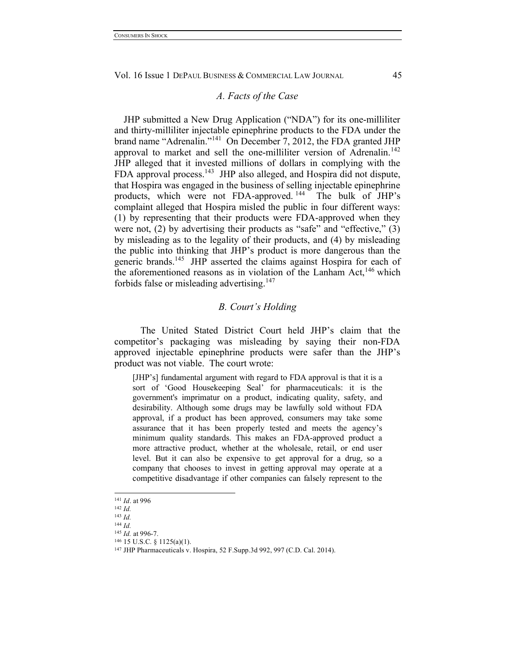#### *A. Facts of the Case*

JHP submitted a New Drug Application ("NDA") for its one-milliliter and thirty-milliliter injectable epinephrine products to the FDA under the brand name "Adrenalin."141 On December 7, 2012, the FDA granted JHP approval to market and sell the one-milliliter version of Adrenalin.<sup>142</sup> JHP alleged that it invested millions of dollars in complying with the FDA approval process.<sup>143</sup> JHP also alleged, and Hospira did not dispute, that Hospira was engaged in the business of selling injectable epinephrine products, which were not FDA-approved. 144 The bulk of JHP's complaint alleged that Hospira misled the public in four different ways: (1) by representing that their products were FDA-approved when they were not, (2) by advertising their products as "safe" and "effective," (3) by misleading as to the legality of their products, and (4) by misleading the public into thinking that JHP's product is more dangerous than the generic brands.<sup>145</sup> JHP asserted the claims against Hospira for each of the aforementioned reasons as in violation of the Lanham Act,  $^{146}$  which forbids false or misleading advertising.<sup>147</sup>

## *B. Court's Holding*

The United Stated District Court held JHP's claim that the competitor's packaging was misleading by saying their non-FDA approved injectable epinephrine products were safer than the JHP's product was not viable. The court wrote:

[JHP's] fundamental argument with regard to FDA approval is that it is a sort of 'Good Housekeeping Seal' for pharmaceuticals: it is the government's imprimatur on a product, indicating quality, safety, and desirability. Although some drugs may be lawfully sold without FDA approval, if a product has been approved, consumers may take some assurance that it has been properly tested and meets the agency's minimum quality standards. This makes an FDA-approved product a more attractive product, whether at the wholesale, retail, or end user level. But it can also be expensive to get approval for a drug, so a company that chooses to invest in getting approval may operate at a competitive disadvantage if other companies can falsely represent to the

 <sup>141</sup> *Id*. at 996

<sup>142</sup> *Id.*

<sup>143</sup> *Id.* <sup>144</sup> *Id.*

<sup>145</sup> *Id.* at 996-7.

<sup>146</sup> 15 U.S.C. § 1125(a)(1).

<sup>147</sup> JHP Pharmaceuticals v. Hospira, 52 F.Supp.3d 992, 997 (C.D. Cal. 2014).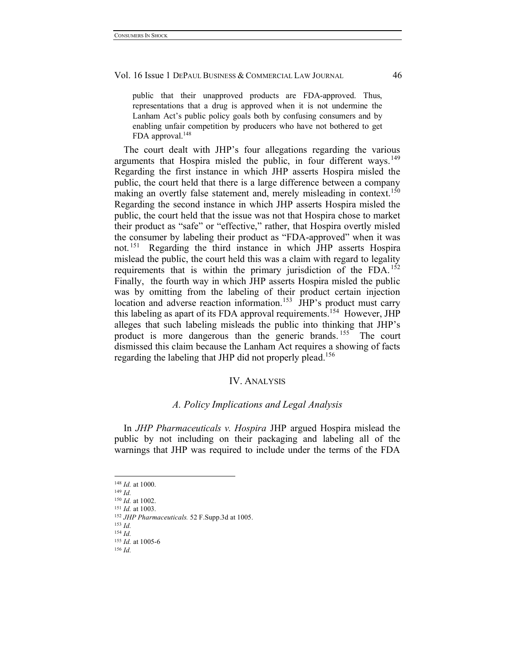public that their unapproved products are FDA-approved. Thus, representations that a drug is approved when it is not undermine the Lanham Act's public policy goals both by confusing consumers and by enabling unfair competition by producers who have not bothered to get FDA approval.<sup>148</sup>

The court dealt with JHP's four allegations regarding the various arguments that Hospira misled the public, in four different ways.<sup>149</sup> Regarding the first instance in which JHP asserts Hospira misled the public, the court held that there is a large difference between a company making an overtly false statement and, merely misleading in context.<sup>150</sup> Regarding the second instance in which JHP asserts Hospira misled the public, the court held that the issue was not that Hospira chose to market their product as "safe" or "effective," rather, that Hospira overtly misled the consumer by labeling their product as "FDA-approved" when it was not. 151 Regarding the third instance in which JHP asserts Hospira mislead the public, the court held this was a claim with regard to legality requirements that is within the primary jurisdiction of the  $FDA$ . <sup>152</sup> Finally, the fourth way in which JHP asserts Hospira misled the public was by omitting from the labeling of their product certain injection location and adverse reaction information.<sup>153</sup> JHP's product must carry this labeling as apart of its FDA approval requirements.<sup>154</sup> However, JHP alleges that such labeling misleads the public into thinking that JHP's product is more dangerous than the generic brands.<sup>155</sup> The court dismissed this claim because the Lanham Act requires a showing of facts regarding the labeling that JHP did not properly plead.<sup>156</sup>

#### IV. ANALYSIS

#### *A. Policy Implications and Legal Analysis*

In *JHP Pharmaceuticals v. Hospira* JHP argued Hospira mislead the public by not including on their packaging and labeling all of the warnings that JHP was required to include under the terms of the FDA

 <sup>148</sup> *Id.* at 1000.

<sup>149</sup> *Id.*

<sup>150</sup> *Id.* at 1002.

<sup>151</sup> *Id.* at 1003.

<sup>152</sup> *JHP Pharmaceuticals.* 52 F.Supp.3d at 1005.

<sup>153</sup> *Id.* <sup>154</sup> *Id.*

<sup>155</sup> *Id.* at 1005-6

<sup>156</sup> *Id.*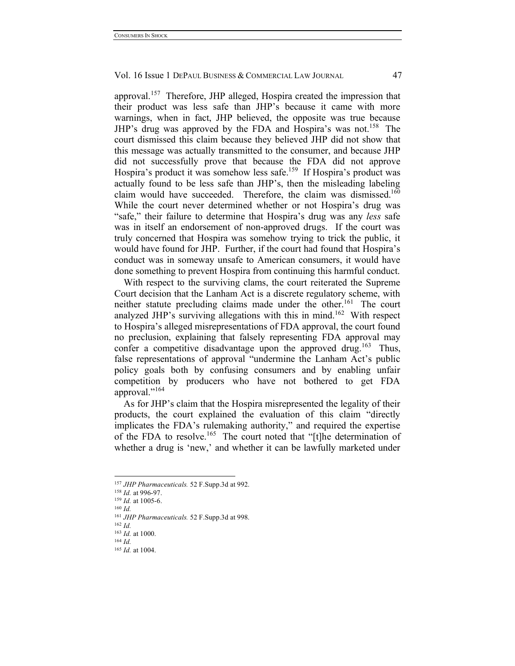approval.157 Therefore, JHP alleged, Hospira created the impression that their product was less safe than JHP's because it came with more warnings, when in fact, JHP believed, the opposite was true because JHP's drug was approved by the FDA and Hospira's was not.<sup>158</sup> The court dismissed this claim because they believed JHP did not show that this message was actually transmitted to the consumer, and because JHP did not successfully prove that because the FDA did not approve Hospira's product it was somehow less safe.<sup>159</sup> If Hospira's product was actually found to be less safe than JHP's, then the misleading labeling claim would have succeeded. Therefore, the claim was dismissed.<sup>160</sup> While the court never determined whether or not Hospira's drug was "safe," their failure to determine that Hospira's drug was any *less* safe was in itself an endorsement of non-approved drugs. If the court was truly concerned that Hospira was somehow trying to trick the public, it would have found for JHP. Further, if the court had found that Hospira's conduct was in someway unsafe to American consumers, it would have done something to prevent Hospira from continuing this harmful conduct.

With respect to the surviving clams, the court reiterated the Supreme Court decision that the Lanham Act is a discrete regulatory scheme, with neither statute precluding claims made under the other.<sup>161</sup> The court analyzed JHP's surviving allegations with this in mind.<sup>162</sup> With respect to Hospira's alleged misrepresentations of FDA approval, the court found no preclusion, explaining that falsely representing FDA approval may confer a competitive disadvantage upon the approved drug.<sup>163</sup> Thus, false representations of approval "undermine the Lanham Act's public policy goals both by confusing consumers and by enabling unfair competition by producers who have not bothered to get FDA approval."<sup>164</sup>

As for JHP's claim that the Hospira misrepresented the legality of their products, the court explained the evaluation of this claim "directly implicates the FDA's rulemaking authority," and required the expertise of the FDA to resolve.<sup>165</sup> The court noted that "[t]he determination of whether a drug is 'new,' and whether it can be lawfully marketed under

 <sup>157</sup> *JHP Pharmaceuticals.* 52 F.Supp.3d at 992.

<sup>158</sup> *Id.* at 996-97.

<sup>159</sup> *Id.* at 1005-6.

<sup>160</sup> *Id.*

<sup>161</sup> *JHP Pharmaceuticals.* 52 F.Supp.3d at 998. <sup>162</sup> *Id.*

<sup>163</sup> *Id.* at 1000.

<sup>164</sup> *Id.*

<sup>165</sup> *Id.* at 1004.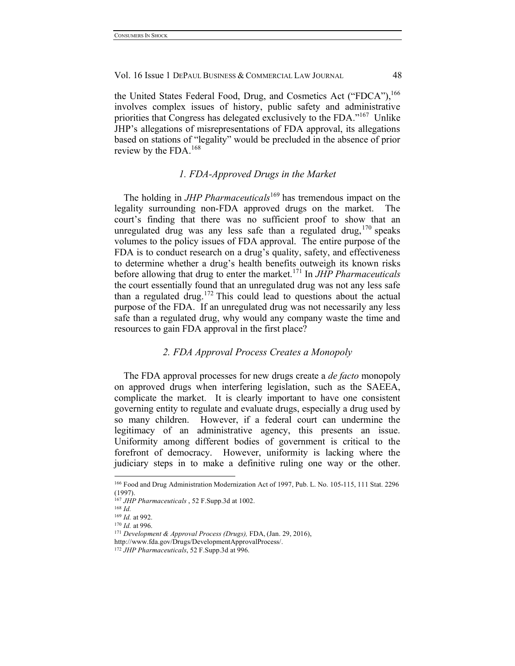the United States Federal Food, Drug, and Cosmetics Act ("FDCA"),<sup>166</sup> involves complex issues of history, public safety and administrative priorities that Congress has delegated exclusively to the FDA."167 Unlike JHP's allegations of misrepresentations of FDA approval, its allegations based on stations of "legality" would be precluded in the absence of prior review by the FDA.<sup>168</sup>

## *1. FDA-Approved Drugs in the Market*

The holding in *JHP Pharmaceuticals*<sup>169</sup> has tremendous impact on the legality surrounding non-FDA approved drugs on the market. The court's finding that there was no sufficient proof to show that an unregulated drug was any less safe than a regulated drug, 170 speaks volumes to the policy issues of FDA approval. The entire purpose of the FDA is to conduct research on a drug's quality, safety, and effectiveness to determine whether a drug's health benefits outweigh its known risks before allowing that drug to enter the market.<sup>171</sup> In *JHP Pharmaceuticals* the court essentially found that an unregulated drug was not any less safe than a regulated drug. <sup>172</sup> This could lead to questions about the actual purpose of the FDA. If an unregulated drug was not necessarily any less safe than a regulated drug, why would any company waste the time and resources to gain FDA approval in the first place?

## *2. FDA Approval Process Creates a Monopoly*

The FDA approval processes for new drugs create a *de facto* monopoly on approved drugs when interfering legislation, such as the SAEEA, complicate the market. It is clearly important to have one consistent governing entity to regulate and evaluate drugs, especially a drug used by so many children. However, if a federal court can undermine the legitimacy of an administrative agency, this presents an issue. Uniformity among different bodies of government is critical to the forefront of democracy. However, uniformity is lacking where the judiciary steps in to make a definitive ruling one way or the other.

 <sup>166</sup> Food and Drug Administration Modernization Act of 1997, Pub. L. No. 105-115, 111 Stat. 2296 (1997).

<sup>167</sup> *JHP Pharmaceuticals* , 52 F.Supp.3d at 1002.

<sup>168</sup> *Id.*

<sup>169</sup> *Id.* at 992.

<sup>170</sup> *Id.* at 996.

<sup>171</sup> *Development & Approval Process (Drugs),* FDA, (Jan. 29, 2016),

http://www.fda.gov/Drugs/DevelopmentApprovalProcess/.

<sup>172</sup> *JHP Pharmaceuticals*, 52 F.Supp.3d at 996.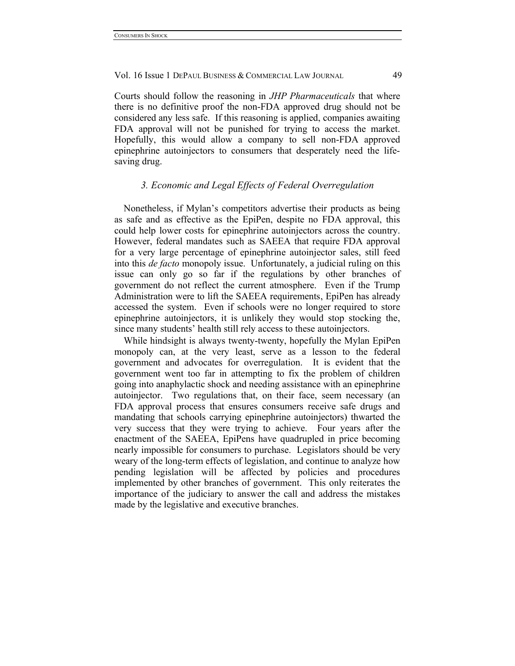Courts should follow the reasoning in *JHP Pharmaceuticals* that where there is no definitive proof the non-FDA approved drug should not be considered any less safe. If this reasoning is applied, companies awaiting FDA approval will not be punished for trying to access the market. Hopefully, this would allow a company to sell non-FDA approved epinephrine autoinjectors to consumers that desperately need the lifesaving drug.

## *3. Economic and Legal Effects of Federal Overregulation*

Nonetheless, if Mylan's competitors advertise their products as being as safe and as effective as the EpiPen, despite no FDA approval, this could help lower costs for epinephrine autoinjectors across the country. However, federal mandates such as SAEEA that require FDA approval for a very large percentage of epinephrine autoinjector sales, still feed into this *de facto* monopoly issue. Unfortunately, a judicial ruling on this issue can only go so far if the regulations by other branches of government do not reflect the current atmosphere. Even if the Trump Administration were to lift the SAEEA requirements, EpiPen has already accessed the system. Even if schools were no longer required to store epinephrine autoinjectors, it is unlikely they would stop stocking the, since many students' health still rely access to these autoinjectors.

While hindsight is always twenty-twenty, hopefully the Mylan EpiPen monopoly can, at the very least, serve as a lesson to the federal government and advocates for overregulation. It is evident that the government went too far in attempting to fix the problem of children going into anaphylactic shock and needing assistance with an epinephrine autoinjector. Two regulations that, on their face, seem necessary (an FDA approval process that ensures consumers receive safe drugs and mandating that schools carrying epinephrine autoinjectors) thwarted the very success that they were trying to achieve. Four years after the enactment of the SAEEA, EpiPens have quadrupled in price becoming nearly impossible for consumers to purchase. Legislators should be very weary of the long-term effects of legislation, and continue to analyze how pending legislation will be affected by policies and procedures implemented by other branches of government. This only reiterates the importance of the judiciary to answer the call and address the mistakes made by the legislative and executive branches.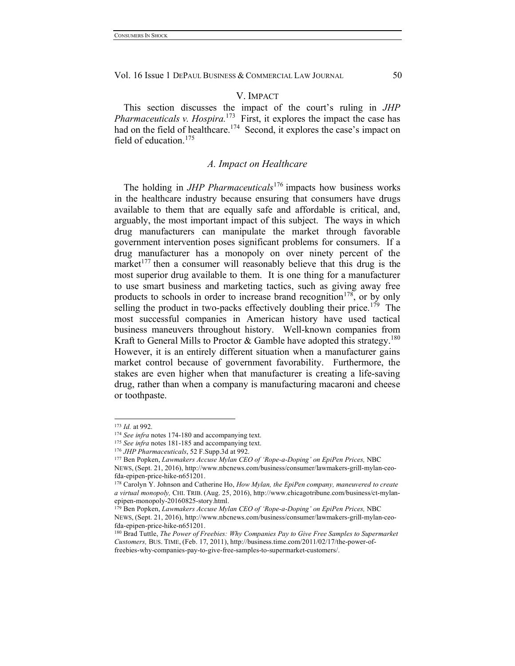## V. IMPACT

This section discusses the impact of the court's ruling in *JHP Pharmaceuticals v. Hospira.*<sup>173</sup> First, it explores the impact the case has had on the field of healthcare.<sup>174</sup> Second, it explores the case's impact on field of education  $175$ 

## *A. Impact on Healthcare*

The holding in *JHP Pharmaceuticals*<sup>176</sup> impacts how business works in the healthcare industry because ensuring that consumers have drugs available to them that are equally safe and affordable is critical, and, arguably, the most important impact of this subject. The ways in which drug manufacturers can manipulate the market through favorable government intervention poses significant problems for consumers. If a drug manufacturer has a monopoly on over ninety percent of the market<sup>177</sup> then a consumer will reasonably believe that this drug is the most superior drug available to them. It is one thing for a manufacturer to use smart business and marketing tactics, such as giving away free products to schools in order to increase brand recognition<sup>178</sup>, or by only selling the product in two-packs effectively doubling their price.<sup>179</sup> The most successful companies in American history have used tactical business maneuvers throughout history. Well-known companies from Kraft to General Mills to Proctor & Gamble have adopted this strategy.<sup>180</sup> However, it is an entirely different situation when a manufacturer gains market control because of government favorability. Furthermore, the stakes are even higher when that manufacturer is creating a life-saving drug, rather than when a company is manufacturing macaroni and cheese or toothpaste.

 <sup>173</sup> *Id.* at 992.

<sup>174</sup> *See infra* notes 174-180 and accompanying text.

<sup>&</sup>lt;sup>175</sup> See infra notes 181-185 and accompanying text.

<sup>176</sup> *JHP Pharmaceuticals*, 52 F.Supp.3d at 992.

<sup>177</sup> Ben Popken, *Lawmakers Accuse Mylan CEO of 'Rope-a-Doping' on EpiPen Prices,* NBC

NEWS, (Sept. 21, 2016), http://www.nbcnews.com/business/consumer/lawmakers-grill-mylan-ceofda-epipen-price-hike-n651201.

<sup>178</sup> Carolyn Y. Johnson and Catherine Ho, *How Mylan, the EpiPen company, maneuvered to create a virtual monopoly,* CHI. TRIB. (Aug. 25, 2016), http://www.chicagotribune.com/business/ct-mylanepipen-monopoly-20160825-story.html.

<sup>179</sup> Ben Popken, *Lawmakers Accuse Mylan CEO of 'Rope-a-Doping' on EpiPen Prices,* NBC NEWS, (Sept. 21, 2016), http://www.nbcnews.com/business/consumer/lawmakers-grill-mylan-ceofda-epipen-price-hike-n651201.

<sup>180</sup> Brad Tuttle, *The Power of Freebies: Why Companies Pay to Give Free Samples to Supermarket Customers,* BUS. TIME, (Feb. 17, 2011), http://business.time.com/2011/02/17/the-power-offreebies-why-companies-pay-to-give-free-samples-to-supermarket-customers/.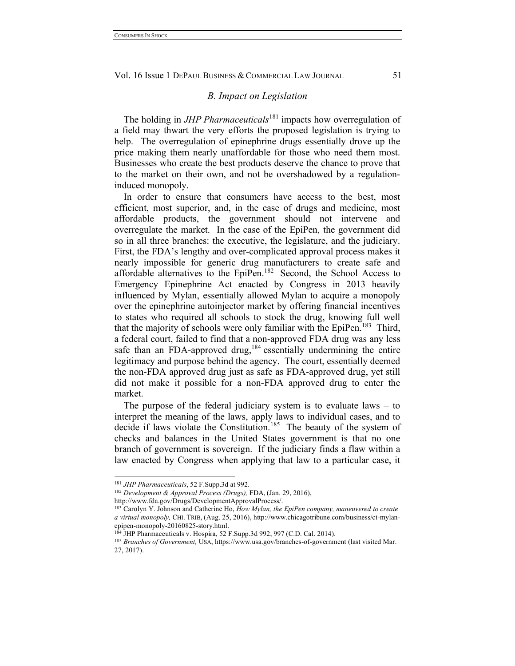#### *B. Impact on Legislation*

The holding in *JHP Pharmaceuticals*<sup>181</sup> impacts how overregulation of a field may thwart the very efforts the proposed legislation is trying to help. The overregulation of epinephrine drugs essentially drove up the price making them nearly unaffordable for those who need them most. Businesses who create the best products deserve the chance to prove that to the market on their own, and not be overshadowed by a regulationinduced monopoly.

In order to ensure that consumers have access to the best, most efficient, most superior, and, in the case of drugs and medicine, most affordable products, the government should not intervene and overregulate the market. In the case of the EpiPen, the government did so in all three branches: the executive, the legislature, and the judiciary. First, the FDA's lengthy and over-complicated approval process makes it nearly impossible for generic drug manufacturers to create safe and affordable alternatives to the EpiPen.<sup>182</sup> Second, the School Access to Emergency Epinephrine Act enacted by Congress in 2013 heavily influenced by Mylan, essentially allowed Mylan to acquire a monopoly over the epinephrine autoinjector market by offering financial incentives to states who required all schools to stock the drug, knowing full well that the majority of schools were only familiar with the EpiPen.<sup>183</sup> Third, a federal court, failed to find that a non-approved FDA drug was any less safe than an FDA-approved drug,<sup>184</sup> essentially undermining the entire legitimacy and purpose behind the agency. The court, essentially deemed the non-FDA approved drug just as safe as FDA-approved drug, yet still did not make it possible for a non-FDA approved drug to enter the market.

The purpose of the federal judiciary system is to evaluate laws – to interpret the meaning of the laws, apply laws to individual cases, and to decide if laws violate the Constitution.<sup>185</sup> The beauty of the system of checks and balances in the United States government is that no one branch of government is sovereign. If the judiciary finds a flaw within a law enacted by Congress when applying that law to a particular case, it

 <sup>181</sup> *JHP Pharmaceuticals*, 52 F.Supp.3d at 992.

<sup>182</sup> *Development & Approval Process (Drugs),* FDA, (Jan. 29, 2016),

http://www.fda.gov/Drugs/DevelopmentApprovalProcess/.

<sup>183</sup> Carolyn Y. Johnson and Catherine Ho, *How Mylan, the EpiPen company, maneuvered to create a virtual monopoly,* CHI. TRIB, (Aug. 25, 2016), http://www.chicagotribune.com/business/ct-mylanepipen-monopoly-20160825-story.html.

<sup>184</sup> JHP Pharmaceuticals v. Hospira, 52 F.Supp.3d 992, 997 (C.D. Cal. 2014).

<sup>185</sup> *Branches of Government,* USA, https://www.usa.gov/branches-of-government (last visited Mar. 27, 2017).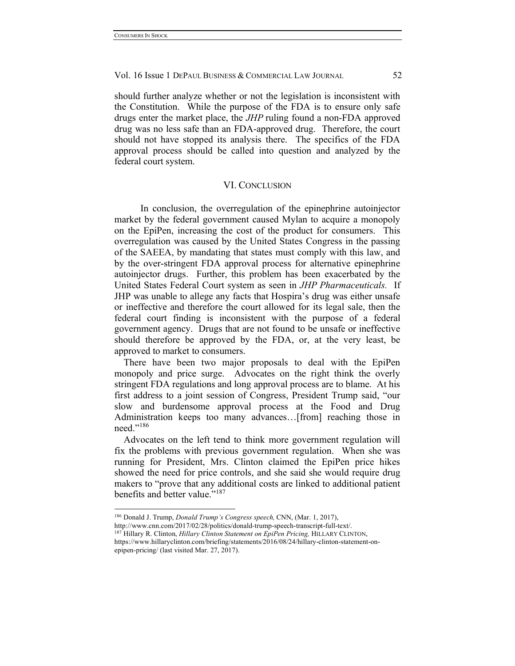should further analyze whether or not the legislation is inconsistent with the Constitution. While the purpose of the FDA is to ensure only safe drugs enter the market place, the *JHP* ruling found a non-FDA approved drug was no less safe than an FDA-approved drug. Therefore, the court should not have stopped its analysis there. The specifics of the FDA approval process should be called into question and analyzed by the federal court system.

#### VI. CONCLUSION

In conclusion, the overregulation of the epinephrine autoinjector market by the federal government caused Mylan to acquire a monopoly on the EpiPen, increasing the cost of the product for consumers. This overregulation was caused by the United States Congress in the passing of the SAEEA, by mandating that states must comply with this law, and by the over-stringent FDA approval process for alternative epinephrine autoinjector drugs. Further, this problem has been exacerbated by the United States Federal Court system as seen in *JHP Pharmaceuticals.* If JHP was unable to allege any facts that Hospira's drug was either unsafe or ineffective and therefore the court allowed for its legal sale, then the federal court finding is inconsistent with the purpose of a federal government agency. Drugs that are not found to be unsafe or ineffective should therefore be approved by the FDA, or, at the very least, be approved to market to consumers.

There have been two major proposals to deal with the EpiPen monopoly and price surge. Advocates on the right think the overly stringent FDA regulations and long approval process are to blame. At his first address to a joint session of Congress, President Trump said, "our slow and burdensome approval process at the Food and Drug Administration keeps too many advances…[from] reaching those in need."<sup>186</sup>

Advocates on the left tend to think more government regulation will fix the problems with previous government regulation. When she was running for President, Mrs. Clinton claimed the EpiPen price hikes showed the need for price controls, and she said she would require drug makers to "prove that any additional costs are linked to additional patient benefits and better value."<sup>187</sup>

http://www.cnn.com/2017/02/28/politics/donald-trump-speech-transcript-full-text/. 187 Hillary R. Clinton, *Hillary Clinton Statement on EpiPen Pricing*, HILLARY CLINTON,

 <sup>186</sup> Donald J. Trump, *Donald Trump's Congress speech,* CNN, (Mar. 1, 2017),

https://www.hillaryclinton.com/briefing/statements/2016/08/24/hillary-clinton-statement-onepipen-pricing/ (last visited Mar. 27, 2017).